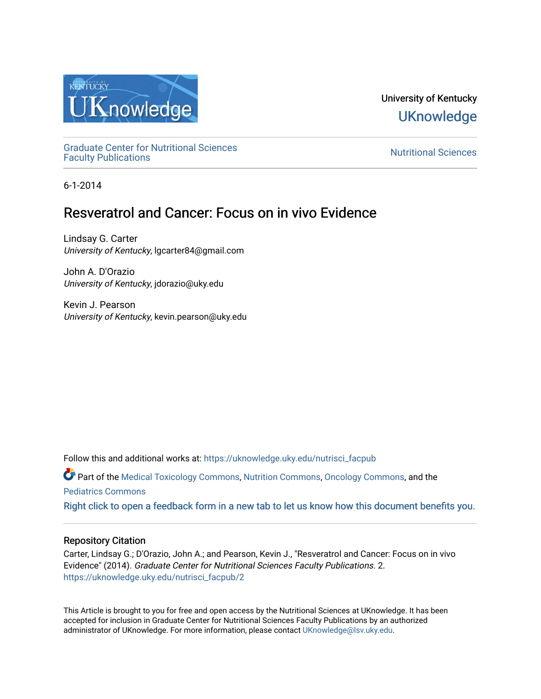

University of Kentucky **UKnowledge** 

[Graduate Center for Nutritional Sciences](https://uknowledge.uky.edu/nutrisci_facpub)  Graduate Center for Nutritional Sciences<br>[Faculty Publications](https://uknowledge.uky.edu/nutrisci_facpub)

6-1-2014

# Resveratrol and Cancer: Focus on in vivo Evidence

Lindsay G. Carter University of Kentucky, lgcarter84@gmail.com

John A. D'Orazio University of Kentucky, jdorazio@uky.edu

Kevin J. Pearson University of Kentucky, kevin.pearson@uky.edu

Follow this and additional works at: [https://uknowledge.uky.edu/nutrisci\\_facpub](https://uknowledge.uky.edu/nutrisci_facpub?utm_source=uknowledge.uky.edu%2Fnutrisci_facpub%2F2&utm_medium=PDF&utm_campaign=PDFCoverPages) 

Part of the [Medical Toxicology Commons](http://network.bepress.com/hgg/discipline/678?utm_source=uknowledge.uky.edu%2Fnutrisci_facpub%2F2&utm_medium=PDF&utm_campaign=PDFCoverPages), [Nutrition Commons](http://network.bepress.com/hgg/discipline/95?utm_source=uknowledge.uky.edu%2Fnutrisci_facpub%2F2&utm_medium=PDF&utm_campaign=PDFCoverPages), [Oncology Commons,](http://network.bepress.com/hgg/discipline/694?utm_source=uknowledge.uky.edu%2Fnutrisci_facpub%2F2&utm_medium=PDF&utm_campaign=PDFCoverPages) and the [Pediatrics Commons](http://network.bepress.com/hgg/discipline/700?utm_source=uknowledge.uky.edu%2Fnutrisci_facpub%2F2&utm_medium=PDF&utm_campaign=PDFCoverPages)

[Right click to open a feedback form in a new tab to let us know how this document benefits you.](https://uky.az1.qualtrics.com/jfe/form/SV_9mq8fx2GnONRfz7)

## Repository Citation

Carter, Lindsay G.; D'Orazio, John A.; and Pearson, Kevin J., "Resveratrol and Cancer: Focus on in vivo Evidence" (2014). Graduate Center for Nutritional Sciences Faculty Publications. 2. [https://uknowledge.uky.edu/nutrisci\\_facpub/2](https://uknowledge.uky.edu/nutrisci_facpub/2?utm_source=uknowledge.uky.edu%2Fnutrisci_facpub%2F2&utm_medium=PDF&utm_campaign=PDFCoverPages) 

This Article is brought to you for free and open access by the Nutritional Sciences at UKnowledge. It has been accepted for inclusion in Graduate Center for Nutritional Sciences Faculty Publications by an authorized administrator of UKnowledge. For more information, please contact [UKnowledge@lsv.uky.edu](mailto:UKnowledge@lsv.uky.edu).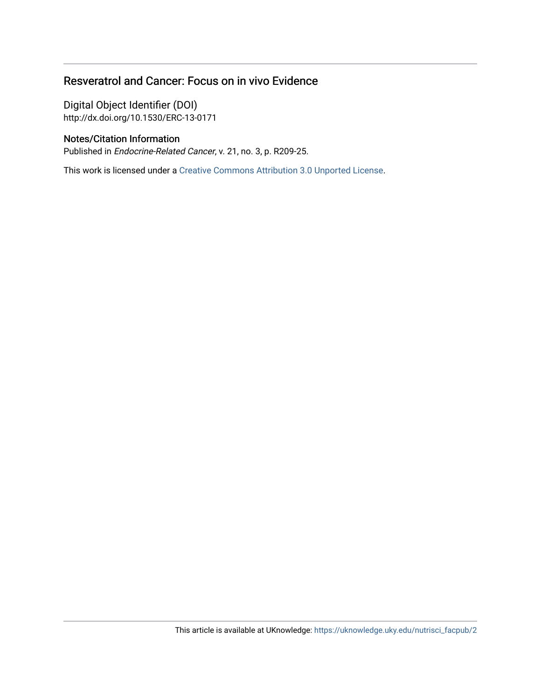# Resveratrol and Cancer: Focus on in vivo Evidence

Digital Object Identifier (DOI) http://dx.doi.org/10.1530/ERC-13-0171

# Notes/Citation Information

Published in Endocrine-Related Cancer, v. 21, no. 3, p. R209-25.

This work is licensed under a [Creative Commons Attribution 3.0 Unported License.](http://creativecommons.org/licenses/by/3.0/deed.en_GB)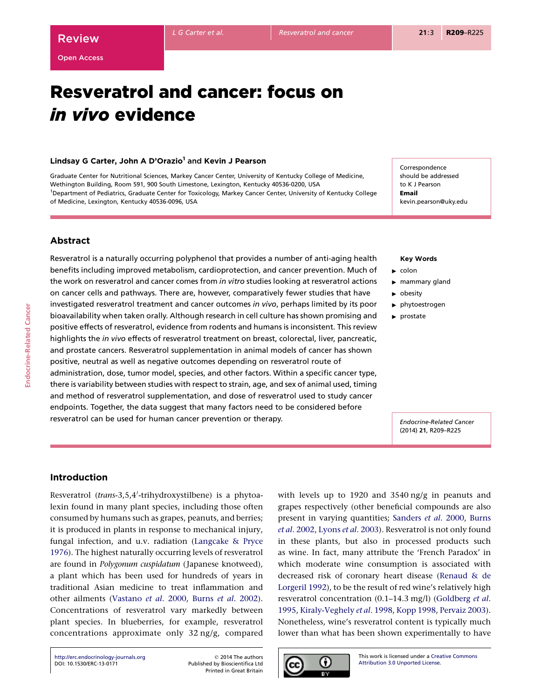# Resveratrol and cancer: focus on in vivo evidence

#### Lindsay G Carter, John A D'Orazio<sup>1</sup> and Kevin J Pearson

Graduate Center for Nutritional Sciences, Markey Cancer Center, University of Kentucky College of Medicine, Wethington Building, Room 591, 900 South Limestone, Lexington, Kentucky 40536-0200, USA 1 Department of Pediatrics, Graduate Center for Toxicology, Markey Cancer Center, University of Kentucky College of Medicine, Lexington, Kentucky 40536-0096, USA

**Correspondence** should be addressed to K J Pearson Email kevin.pearson@uky.edu

### Abstract

Resveratrol is a naturally occurring polyphenol that provides a number of anti-aging health benefits including improved metabolism, cardioprotection, and cancer prevention. Much of the work on resveratrol and cancer comes from *in vitro* studies looking at resveratrol actions on cancer cells and pathways. There are, however, comparatively fewer studies that have investigated resveratrol treatment and cancer outcomes in vivo, perhaps limited by its poor bioavailability when taken orally. Although research in cell culture has shown promising and positive effects of resveratrol, evidence from rodents and humans is inconsistent. This review highlights the in vivo effects of resveratrol treatment on breast, colorectal, liver, pancreatic, and prostate cancers. Resveratrol supplementation in animal models of cancer has shown positive, neutral as well as negative outcomes depending on resveratrol route of administration, dose, tumor model, species, and other factors. Within a specific cancer type, there is variability between studies with respect to strain, age, and sex of animal used, timing and method of resveratrol supplementation, and dose of resveratrol used to study cancer endpoints. Together, the data suggest that many factors need to be considered before resveratrol can be used for human cancer prevention or therapy.

#### Key Words

- $\blacktriangleright$  colon
- $\blacktriangleright$  mammary gland
- $\blacktriangleright$  obesity
- $\blacktriangleright$  phytoestrogen
- $\blacktriangleright$  prostate

Endocrine-Related Cancer (2014) 21, R209–R225

#### Introduction

Resveratrol (trans-3,5,4'-trihydroxystilbene) is a phytoalexin found in many plant species, including those often consumed by humans such as grapes, peanuts, and berries; it is produced in plants in response to mechanical injury, fungal infection, and u.v. radiation ([Langcake & Pryce](#page-16-0) [1976](#page-16-0)). The highest naturally occurring levels of resveratrol are found in Polygonum cuspidatum (Japanese knotweed), a plant which has been used for hundreds of years in traditional Asian medicine to treat inflammation and other ailments ([Vastano](#page-18-0) et al. 2000, Burns et al[. 2002\)](#page-15-0). Concentrations of resveratrol vary markedly between plant species. In blueberries, for example, resveratrol concentrations approximate only 32 ng/g, compared with levels up to 1920 and 3540 ng/g in peanuts and grapes respectively (other beneficial compounds are also present in varying quantities; [Sanders](#page-17-0) et al. 2000, [Burns](#page-15-0) et al[. 2002,](#page-15-0) Lyons et al[. 2003\)](#page-16-0). Resveratrol is not only found in these plants, but also in processed products such as wine. In fact, many attribute the 'French Paradox' in which moderate wine consumption is associated with decreased risk of coronary heart disease ([Renaud & de](#page-17-0) [Lorgeril 1992\)](#page-17-0), to be the result of red wine's relatively high resveratrol concentration (0.1–14.3 mg/l) ([Goldberg](#page-15-0) et al. [1995](#page-15-0), [Kiraly-Veghely](#page-16-0) et al. 1998, [Kopp 1998](#page-16-0), [Pervaiz 2003\)](#page-16-0). Nonetheless, wine's resveratrol content is typically much lower than what has been shown experimentally to have

 $©$  2014 The authors Published by Bioscientifica Ltd Printed in Great Britain



This work is licensed under a [Creative Commons](http://creativecommons.org/licenses/by/3.0/deed.en_GB) [Attribution 3.0 Unported License.](http://creativecommons.org/licenses/by/3.0/deed.en_GB)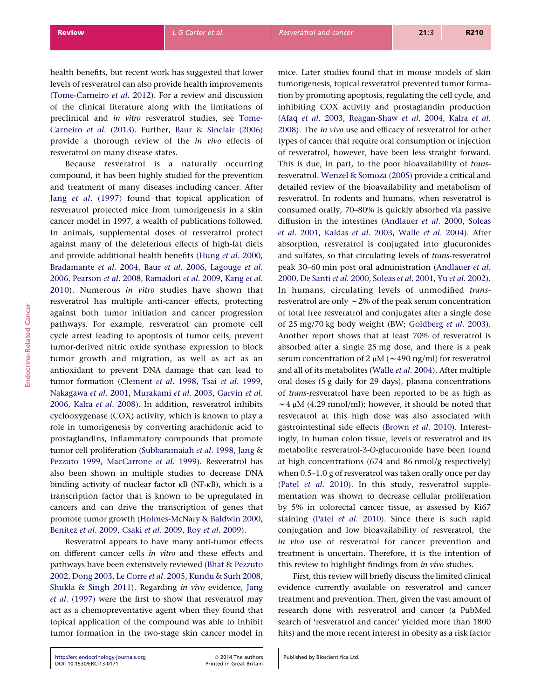health benefits, but recent work has suggested that lower levels of resveratrol can also provide health improvements ([Tome-Carneiro](#page-17-0) et al. 2012). For a review and discussion of the clinical literature along with the limitations of preclinical and in vitro resveratrol studies, see [Tome-](#page-18-0)[Carneiro](#page-18-0) et al. (2013). Further, [Baur & Sinclair \(2006\)](#page-14-0) provide a thorough review of the in vivo effects of resveratrol on many disease states.

Because resveratrol is a naturally occurring compound, it has been highly studied for the prevention and treatment of many diseases including cancer. After Jang et al[. \(1997\)](#page-15-0) found that topical application of resveratrol protected mice from tumorigenesis in a skin cancer model in 1997, a wealth of publications followed. In animals, supplemental doses of resveratrol protect against many of the deleterious effects of high-fat diets and provide additional health benefits (Hung et al[. 2000](#page-15-0), [Bradamante](#page-14-0) et al. 2004, Baur et al[. 2006](#page-14-0), [Lagouge](#page-16-0) et al. [2006](#page-16-0), [Pearson](#page-16-0) et al. 2008, [Ramadori](#page-17-0) et al. 2009, [Kang](#page-16-0) et al. [2010](#page-16-0)). Numerous in vitro studies have shown that resveratrol has multiple anti-cancer effects, protecting against both tumor initiation and cancer progression pathways. For example, resveratrol can promote cell cycle arrest leading to apoptosis of tumor cells, prevent tumor-derived nitric oxide synthase expression to block tumor growth and migration, as well as act as an antioxidant to prevent DNA damage that can lead to tumor formation [\(Clement](#page-15-0) et al. 1998, Tsai et al[. 1999](#page-18-0), [Nakagawa](#page-16-0) et al. 2001, [Murakami](#page-16-0) et al. 2003, [Garvin](#page-15-0) et al. [2006](#page-15-0), Kalra et al[. 2008](#page-16-0)). In addition, resveratrol inhibits cyclooxygenase (COX) activity, which is known to play a role in tumorigenesis by converting arachidonic acid to prostaglandins, inflammatory compounds that promote tumor cell proliferation [\(Subbaramaiah](#page-17-0) et al. 1998, [Jang &](#page-15-0) [Pezzuto 1999,](#page-15-0) [MacCarrone](#page-16-0) et al. 1999). Resveratrol has also been shown in multiple studies to decrease DNA binding activity of nuclear factor  $\kappa$ B (NF- $\kappa$ B), which is a transcription factor that is known to be upregulated in cancers and can drive the transcription of genes that promote tumor growth ([Holmes-McNary & Baldwin 2000](#page-15-0), [Benitez](#page-14-0) et al. 2009, Csaki et al[. 2009](#page-15-0), Roy et al[. 2009](#page-17-0)).

Resveratrol appears to have many anti-tumor effects on different cancer cells in vitro and these effects and pathways have been extensively reviewed [\(Bhat & Pezzuto](#page-14-0) [2002](#page-14-0), [Dong 2003](#page-15-0), [Le Corre](#page-16-0) et al. 2005, [Kundu & Surh 2008](#page-16-0), [Shukla & Singh 2011\)](#page-17-0). Regarding in vivo evidence, [Jang](#page-15-0) et al[. \(1997\)](#page-15-0) were the first to show that resveratrol may act as a chemopreventative agent when they found that topical application of the compound was able to inhibit tumor formation in the two-stage skin cancer model in

mice. Later studies found that in mouse models of skin tumorigenesis, topical resveratrol prevented tumor formation by promoting apoptosis, regulating the cell cycle, and inhibiting COX activity and prostaglandin production (Afaq et al[. 2003](#page-14-0), [Reagan-Shaw](#page-17-0) et al. 2004, [Kalra](#page-16-0) et al. [2008](#page-16-0)). The in vivo use and efficacy of resveratrol for other types of cancer that require oral consumption or injection of resveratrol, however, have been less straight forward. This is due, in part, to the poor bioavailability of transresveratrol. [Wenzel & Somoza \(2005\)](#page-18-0) provide a critical and detailed review of the bioavailability and metabolism of resveratrol. In rodents and humans, when resveratrol is consumed orally, 70–80% is quickly absorbed via passive diffusion in the intestines ([Andlauer](#page-14-0) et al. 2000, [Soleas](#page-17-0) et al[. 2001](#page-17-0), Kaldas et al[. 2003](#page-16-0), Walle et al[. 2004](#page-18-0)). After absorption, resveratrol is conjugated into glucuronides and sulfates, so that circulating levels of trans-resveratrol peak 30–60 min post oral administration ([Andlauer](#page-14-0) et al. [2000](#page-14-0), [De Santi](#page-15-0) et al. 2000, Soleas et al[. 2001,](#page-17-0) Yu et al[. 2002\)](#page-18-0). In humans, circulating levels of unmodified transresveratrol are only  $\sim$  2% of the peak serum concentration of total free resveratrol and conjugates after a single dose of 25 mg/70 kg body weight (BW; [Goldberg](#page-15-0) et al. 2003). Another report shows that at least 70% of resveratrol is absorbed after a single 25 mg dose, and there is a peak serum concentration of 2  $\mu$ M ( $\sim$  490 ng/ml) for resveratrol and all of its metabolites (Walle et al[. 2004](#page-18-0)). After multiple oral doses (5 g daily for 29 days), plasma concentrations of trans-resveratrol have been reported to be as high as  $\sim$  4 µM (4.29 nmol/ml); however, it should be noted that resveratrol at this high dose was also associated with gastrointestinal side effects ([Brown](#page-15-0) et al. 2010). Interestingly, in human colon tissue, levels of resveratrol and its metabolite resveratrol-3-O-glucuronide have been found at high concentrations (674 and 86 nmol/g respectively) when 0.5–1.0 g of resveratrol was taken orally once per day (Patel et al[. 2010](#page-16-0)). In this study, resveratrol supplementation was shown to decrease cellular proliferation by 5% in colorectal cancer tissue, as assessed by Ki67 staining (Patel et al[. 2010](#page-16-0)). Since there is such rapid conjugation and low bioavailability of resveratrol, the in vivo use of resveratrol for cancer prevention and treatment is uncertain. Therefore, it is the intention of this review to highlight findings from in vivo studies.

First, this review will briefly discuss the limited clinical evidence currently available on resveratrol and cancer treatment and prevention. Then, given the vast amount of research done with resveratrol and cancer (a PubMed search of 'resveratrol and cancer' yielded more than 1800 hits) and the more recent interest in obesity as a risk factor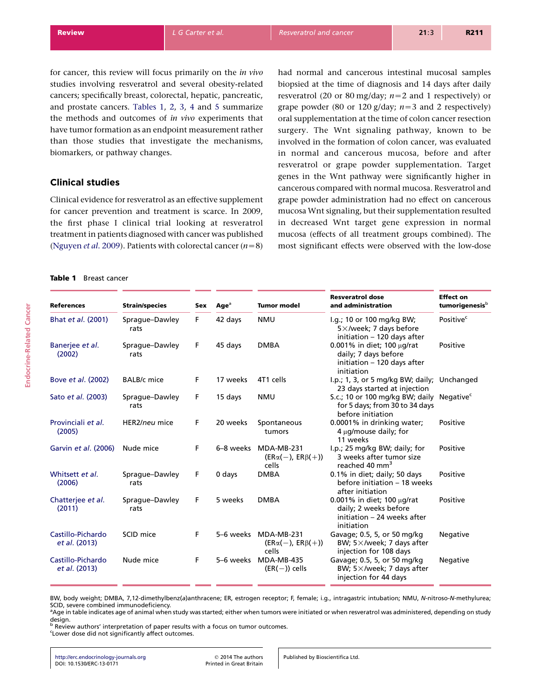<span id="page-4-0"></span>for cancer, this review will focus primarily on the in vivo studies involving resveratrol and several obesity-related cancers; specifically breast, colorectal, hepatic, pancreatic, and prostate cancers. Tables 1, [2](#page-5-0), [3,](#page-6-0) [4](#page-7-0) and [5](#page-8-0) summarize the methods and outcomes of in vivo experiments that have tumor formation as an endpoint measurement rather than those studies that investigate the mechanisms, biomarkers, or pathway changes.

#### Clinical studies

Clinical evidence for resveratrol as an effective supplement for cancer prevention and treatment is scarce. In 2009, the first phase I clinical trial looking at resveratrol treatment in patients diagnosed with cancer was published ([Nguyen](#page-16-0) et al. 2009). Patients with colorectal cancer  $(n=8)$  had normal and cancerous intestinal mucosal samples biopsied at the time of diagnosis and 14 days after daily resveratrol (20 or 80 mg/day;  $n=2$  and 1 respectively) or grape powder (80 or 120 g/day;  $n=3$  and 2 respectively) oral supplementation at the time of colon cancer resection surgery. The Wnt signaling pathway, known to be involved in the formation of colon cancer, was evaluated in normal and cancerous mucosa, before and after resveratrol or grape powder supplementation. Target genes in the Wnt pathway were significantly higher in cancerous compared with normal mucosa. Resveratrol and grape powder administration had no effect on cancerous mucosa Wnt signaling, but their supplementation resulted in decreased Wnt target gene expression in normal mucosa (effects of all treatment groups combined). The most significant effects were observed with the low-dose

#### Table 1 Breast cancer

Endocrine-Related Cancer

**Endocrine-Related Cancer** 

| <b>References</b>                  | <b>Strain/species</b>                                 | Sex | Age <sup>a</sup> | <b>Tumor model</b>                                                                 | <b>Resveratrol dose</b><br>and administration                                                                | <b>Effect on</b><br>tumorigenesis <sup>b</sup> |
|------------------------------------|-------------------------------------------------------|-----|------------------|------------------------------------------------------------------------------------|--------------------------------------------------------------------------------------------------------------|------------------------------------------------|
| Bhat et al. (2001)                 | 42 days<br><b>NMU</b><br>Sprague-Dawley<br>F.<br>rats |     |                  | I.g.; 10 or 100 mg/kg BW;<br>5×/week; 7 days before<br>initiation - 120 days after |                                                                                                              |                                                |
| Banerjee et al.<br>(2002)          | Sprague-Dawley<br>rats                                | F.  | 45 days          | <b>DMBA</b>                                                                        | 0.001% in diet; 100 µg/rat<br>daily; 7 days before<br>initiation - 120 days after<br>initiation              | Positive                                       |
| Bove et al. (2002)                 | <b>BALB/c</b> mice                                    | F   | 17 weeks         | 4T1 cells                                                                          | $I.p.; 1, 3, or 5 mg/kg BW; daily; Unchanged$<br>23 days started at injection                                |                                                |
| Sato et al. (2003)                 | Sprague-Dawley<br>rats                                | F.  | 15 days          | <b>NMU</b>                                                                         | S.c.; 10 or 100 mg/kg BW; daily Negative <sup>c</sup><br>for 5 days; from 30 to 34 days<br>before initiation |                                                |
| Provinciali et al.<br>(2005)       | HER2/neu mice                                         | F.  | 20 weeks         | Spontaneous<br>tumors                                                              | 0.0001% in drinking water;<br>$4 \mu q$ /mouse daily; for<br>11 weeks                                        | Positive                                       |
| Garvin et al. (2006)               | Nude mice                                             | F.  | 6-8 weeks        | MDA-MB-231<br>$(ER\alpha(-), ER\beta(+))$<br>cells                                 | I.p.; 25 mg/kg BW; daily; for<br>3 weeks after tumor size<br>reached 40 $\text{mm}^3$                        | Positive                                       |
| Whitsett et al.<br>(2006)          | Sprague-Dawley<br>rats                                | F   | 0 days           | <b>DMBA</b>                                                                        | 0.1% in diet; daily; 50 days<br>before initiation - 18 weeks<br>after initiation                             | Positive                                       |
| Chatterjee et al.<br>(2011)        | Sprague-Dawley<br>rats                                | F.  | 5 weeks          | <b>DMBA</b>                                                                        | 0.001% in diet; $100 \mu$ g/rat<br>daily; 2 weeks before<br>initiation - 24 weeks after<br>initiation        | Positive                                       |
| Castillo-Pichardo<br>et al. (2013) | SCID mice                                             | F.  | 5-6 weeks        | MDA-MB-231<br>$(ER\alpha(-), ER\beta(+))$<br>cells                                 | Gavage; 0.5, 5, or 50 mg/kg<br>BW; $5 \times$ /week; 7 days after<br>injection for 108 days                  | Negative                                       |
| Castillo-Pichardo<br>et al. (2013) | Nude mice                                             | F.  | 5-6 weeks        | MDA-MB-435<br>$(ER(-))$ cells                                                      | Gavage; 0.5, 5, or 50 mg/kg<br>BW; $5 \times$ /week; 7 days after<br>injection for 44 days                   | Negative                                       |

BW, body weight; DMBA, 7,12-dimethylbenz(a)anthracene; ER, estrogen receptor; F, female; i.g., intragastric intubation; NMU, N-nitroso-N-methylurea; SCID, severe combined immunodeficiency.

<sup>a</sup>Age in table indicates age of animal when study was started; either when tumors were initiated or when resveratrol was administered, depending on study design.

b Review authors' interpretation of paper results with a focus on tumor outcomes.

Lower dose did not significantly affect outcomes.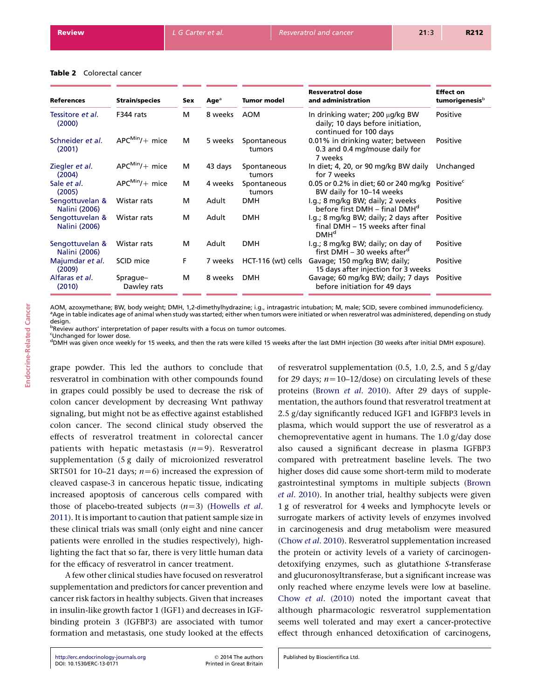<span id="page-5-0"></span>

| <b>Strain/species</b>   | Sex                | Age <sup>a</sup> | <b>Tumor model</b>    | <b>Resveratrol dose</b><br>and administration                                                       | <b>Effect on</b><br>tumorigenesis <sup>b</sup> |
|-------------------------|--------------------|------------------|-----------------------|-----------------------------------------------------------------------------------------------------|------------------------------------------------|
| F344 rats               | м                  | 8 weeks          | AOM                   | In drinking water; 200 $\mu$ g/kg BW<br>daily; 10 days before initiation,<br>continued for 100 days | Positive                                       |
|                         | м                  | 5 weeks          | Spontaneous<br>tumors | 0.01% in drinking water; between<br>0.3 and 0.4 mg/mouse daily for<br>7 weeks                       | Positive                                       |
| $APC^{Min}/+$ mice      | м                  | 43 days          | Spontaneous<br>tumors | In diet; 4, 20, or 90 mg/kg BW daily<br>for 7 weeks                                                 | Unchanged                                      |
| $APC^{Min}/+$ mice      | M                  | 4 weeks          | Spontaneous<br>tumors | 0.05 or 0.2% in diet; 60 or 240 mg/kg Positive <sup>c</sup><br>BW daily for 10-14 weeks             |                                                |
| Wistar rats             | м                  | Adult            | <b>DMH</b>            | I.g.; 8 mg/kg BW; daily; 2 weeks<br>before first DMH - final DMH <sup>d</sup>                       | Positive                                       |
| Wistar rats             | м                  | Adult            | <b>DMH</b>            | I.g.; 8 mg/kg BW; daily; 2 days after<br>final DMH - 15 weeks after final<br>DMH <sup>d</sup>       | Positive                                       |
| Wistar rats             | м                  | Adult            | <b>DMH</b>            | I.g.; 8 mg/kg BW; daily; on day of<br>first DMH - 30 weeks after <sup>d</sup>                       | Positive                                       |
| SCID mice               | F.                 | 7 weeks          | HCT-116 (wt) cells    | Gavage; 150 mg/kg BW; daily;<br>15 days after injection for 3 weeks                                 | Positive                                       |
| Sprague-<br>Dawley rats | M                  | 8 weeks          | <b>DMH</b>            | Gavage; 60 mg/kg BW; daily; 7 days<br>before initiation for 49 days                                 | Positive                                       |
|                         | $APC^{Min}/+$ mice |                  |                       |                                                                                                     |                                                |

AOM, azoxymethane; BW, body weight; DMH, 1,2-dimethylhydrazine; i.g., intragastric intubation; M, male; SCID, severe combined immunodeficiency. <sup>a</sup>Age in table indicates age of animal when study was started; either when tumors were initiated or when resveratrol was administered, depending on study design.

<sup>b</sup>Review authors' interpretation of paper results with a focus on tumor outcomes.

c Unchanged for lower dose. d DMH was given once weekly for 15 weeks, and then the rats were killed 15 weeks after the last DMH injection (30 weeks after initial DMH exposure).

grape powder. This led the authors to conclude that resveratrol in combination with other compounds found in grapes could possibly be used to decrease the risk of colon cancer development by decreasing Wnt pathway signaling, but might not be as effective against established colon cancer. The second clinical study observed the effects of resveratrol treatment in colorectal cancer patients with hepatic metastasis  $(n=9)$ . Resveratrol supplementation (5 g daily of microionized resveratrol SRT501 for 10–21 days;  $n=6$ ) increased the expression of cleaved caspase-3 in cancerous hepatic tissue, indicating increased apoptosis of cancerous cells compared with those of placebo-treated subjects  $(n=3)$  ([Howells](#page-15-0) *et al.*) [2011](#page-15-0)). It is important to caution that patient sample size in these clinical trials was small (only eight and nine cancer patients were enrolled in the studies respectively), highlighting the fact that so far, there is very little human data for the efficacy of resveratrol in cancer treatment.

A few other clinical studies have focused on resveratrol supplementation and predictors for cancer prevention and cancer risk factors in healthy subjects. Given that increases in insulin-like growth factor 1 (IGF1) and decreases in IGFbinding protein 3 (IGFBP3) are associated with tumor formation and metastasis, one study looked at the effects of resveratrol supplementation (0.5, 1.0, 2.5, and 5 g/day for 29 days;  $n=10-12$ /dose) on circulating levels of these proteins (Brown et al[. 2010\)](#page-15-0). After 29 days of supplementation, the authors found that resveratrol treatment at 2.5 g/day significantly reduced IGF1 and IGFBP3 levels in plasma, which would support the use of resveratrol as a chemopreventative agent in humans. The 1.0 g/day dose also caused a significant decrease in plasma IGFBP3 compared with pretreatment baseline levels. The two higher doses did cause some short-term mild to moderate gastrointestinal symptoms in multiple subjects [\(Brown](#page-15-0) et al[. 2010](#page-15-0)). In another trial, healthy subjects were given 1 g of resveratrol for 4 weeks and lymphocyte levels or surrogate markers of activity levels of enzymes involved in carcinogenesis and drug metabolism were measured (Chow et al[. 2010\)](#page-15-0). Resveratrol supplementation increased the protein or activity levels of a variety of carcinogendetoxifying enzymes, such as glutathione S-transferase and glucuronosyltransferase, but a significant increase was only reached where enzyme levels were low at baseline. Chow et al[. \(2010\)](#page-15-0) noted the important caveat that although pharmacologic resveratrol supplementation seems well tolerated and may exert a cancer-protective effect through enhanced detoxification of carcinogens,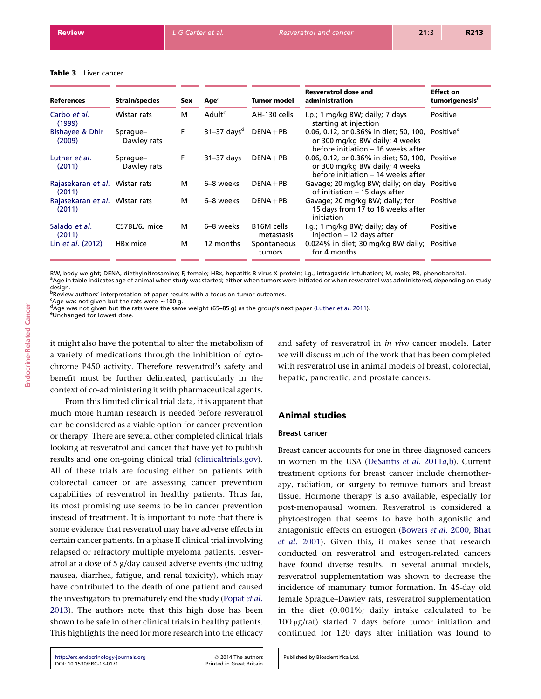<span id="page-6-0"></span>Table 3 Liver cancer

| <b>References</b>                        | <b>Strain/species</b>   | Sex | Age <sup>a</sup>          | <b>Tumor model</b>                    | <b>Resveratrol dose and</b><br>administration                                                                                        | <b>Effect on</b><br>tumorigenesis <sup>b</sup> |
|------------------------------------------|-------------------------|-----|---------------------------|---------------------------------------|--------------------------------------------------------------------------------------------------------------------------------------|------------------------------------------------|
| Carbo et al.<br>(1999)                   | Wistar rats             | м   | Adult <sup>c</sup>        | AH-130 cells                          | I.p.; 1 mg/kg BW; daily; 7 days<br>starting at injection                                                                             | Positive                                       |
| Bishayee & Dhir<br>(2009)                | Sprague-<br>Dawley rats | F.  | $31-37$ days <sup>d</sup> | $DENA + PB$                           | 0.06, 0.12, or 0.36% in diet; 50, 100, Positive <sup>e</sup><br>or 300 mg/kg BW daily; 4 weeks<br>before initiation - 16 weeks after |                                                |
| Luther et al.<br>(2011)                  | Sprague-<br>Dawley rats | F.  | $31 - 37$ days            | $DENA + PB$                           | 0.06, 0.12, or 0.36% in diet; 50, 100, Positive<br>or 300 mg/kg BW daily; 4 weeks<br>before initiation - 14 weeks after              |                                                |
| Rajasekaran et al. Wistar rats<br>(2011) |                         | м   | 6-8 weeks                 | $DENA + PB$                           | Gavage; 20 mg/kg BW; daily; on day Positive<br>of initiation - 15 days after                                                         |                                                |
| Rajasekaran et al. Wistar rats<br>(2011) |                         | м   | 6-8 weeks                 | $DENA + PB$                           | Gavage; 20 mg/kg BW; daily; for<br>15 days from 17 to 18 weeks after<br>initiation                                                   | Positive                                       |
| Salado et al.<br>(2011)                  | C57BL/6J mice           | м   | 6-8 weeks                 | B <sub>16</sub> M cells<br>metastasis | I.g.; 1 mg/kg BW; daily; day of<br>injection - 12 days after                                                                         | Positive                                       |
| Lin <i>et al.</i> (2012)                 | HBx mice                | м   | 12 months                 | Spontaneous<br>tumors                 | 0.024% in diet; 30 mg/kg BW daily; Positive<br>for 4 months                                                                          |                                                |

BW, body weight; DENA, diethylnitrosamine; F, female; HBx, hepatitis B virus X protein; i.g., intragastric intubation; M, male; PB, phenobarbital. <sup>a</sup>Age in table indicates age of animal when study was started; either when tumors were initiated or when resveratrol was administered, depending on study design

 $^{b}$ Review authors' interpretation of paper results with a focus on tumor outcomes.<br><sup>C</sup>Age was not given but the rats were  $\sim$  100 g.

 $A_{\text{A}}$ ge was not given but the rats were the same weight (65–85 g) as the group's next paper ([Luther](#page-16-0) et al. 2011). Unchanged for lowest dose.

it might also have the potential to alter the metabolism of a variety of medications through the inhibition of cytochrome P450 activity. Therefore resveratrol's safety and benefit must be further delineated, particularly in the context of co-administering it with pharmaceutical agents.

From this limited clinical trial data, it is apparent that much more human research is needed before resveratrol can be considered as a viable option for cancer prevention or therapy. There are several other completed clinical trials looking at resveratrol and cancer that have yet to publish results and one on-going clinical trial [\(clinicaltrials.gov\)](http://clinicaltrials.gov). All of these trials are focusing either on patients with colorectal cancer or are assessing cancer prevention capabilities of resveratrol in healthy patients. Thus far, its most promising use seems to be in cancer prevention instead of treatment. It is important to note that there is some evidence that resveratrol may have adverse effects in certain cancer patients. In a phase II clinical trial involving relapsed or refractory multiple myeloma patients, resveratrol at a dose of 5 g/day caused adverse events (including nausea, diarrhea, fatigue, and renal toxicity), which may have contributed to the death of one patient and caused the investigators to prematurely end the study ([Popat](#page-16-0) et al. [2013](#page-16-0)). The authors note that this high dose has been shown to be safe in other clinical trials in healthy patients. This highlights the need for more research into the efficacy

and safety of resveratrol in in vivo cancer models. Later we will discuss much of the work that has been completed with resveratrol use in animal models of breast, colorectal, hepatic, pancreatic, and prostate cancers.

#### Animal studies

#### Breast cancer

Breast cancer accounts for one in three diagnosed cancers in women in the USA [\(DeSantis](#page-15-0) et al. 2011a[,b](#page-15-0)). Current treatment options for breast cancer include chemotherapy, radiation, or surgery to remove tumors and breast tissue. Hormone therapy is also available, especially for post-menopausal women. Resveratrol is considered a phytoestrogen that seems to have both agonistic and antagonistic effects on estrogen [\(Bowers](#page-14-0) et al. 2000, [Bhat](#page-14-0) et al[. 2001\)](#page-14-0). Given this, it makes sense that research conducted on resveratrol and estrogen-related cancers have found diverse results. In several animal models, resveratrol supplementation was shown to decrease the incidence of mammary tumor formation. In 45-day old female Sprague–Dawley rats, resveratrol supplementation in the diet (0.001%; daily intake calculated to be 100 mg/rat) started 7 days before tumor initiation and continued for 120 days after initiation was found to

<http://erc.endocrinology-journals.org> [DOI: 10.1530/ERC-13-0171](http://dx.doi.org/10.1530/ERC-13-0171)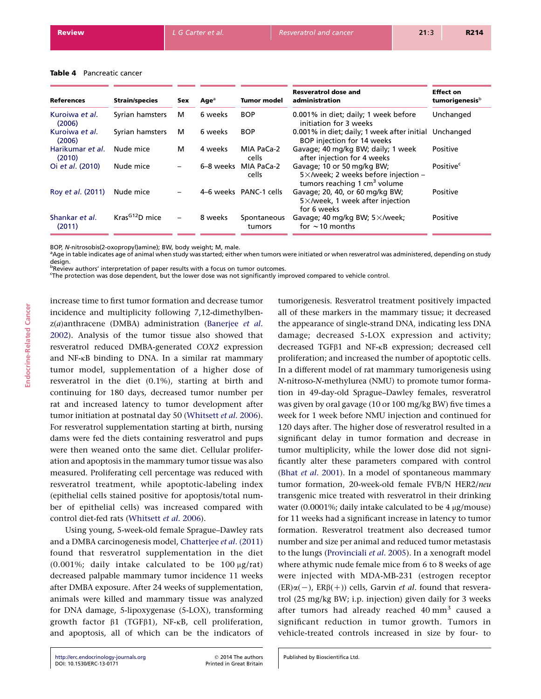<span id="page-7-0"></span>

| <b>References</b>          | <b>Strain/species</b> | Sex | Age <sup>a</sup> | Tumor model            | <b>Resveratrol dose and</b><br>administration                                                                          | <b>Effect on</b><br>tumorigenesisb |
|----------------------------|-----------------------|-----|------------------|------------------------|------------------------------------------------------------------------------------------------------------------------|------------------------------------|
| Kuroiwa et al.<br>(2006)   | Syrian hamsters       | м   | 6 weeks          | <b>BOP</b>             | 0.001% in diet; daily; 1 week before<br>initiation for 3 weeks                                                         | Unchanged                          |
| Kuroiwa et al.<br>(2006)   | Syrian hamsters       | м   | 6 weeks          | <b>BOP</b>             | 0.001% in diet; daily; 1 week after initial<br>BOP injection for 14 weeks                                              | Unchanged                          |
| Harikumar et al.<br>(2010) | Nude mice             | м   | 4 weeks          | MIA PaCa-2<br>cells    | Gavage; 40 mg/kg BW; daily; 1 week<br>after injection for 4 weeks                                                      | Positive                           |
| Oi et al. (2010)           | Nude mice             |     | 6-8 weeks        | MIA PaCa-2<br>cells    | Gavage; 10 or 50 mg/kg BW;<br>$5 \times$ /week; 2 weeks before injection -<br>tumors reaching 1 cm <sup>3</sup> volume | Positive <sup>c</sup>              |
| Roy et al. (2011)          | Nude mice             |     |                  | 4–6 weeks PANC-1 cells | Gavage; 20, 40, or 60 mg/kg BW;<br>$5 \times$ /week, 1 week after injection<br>for 6 weeks                             | Positive                           |
| Shankar et al.<br>(2011)   | Kras $G12D$ mice      |     | 8 weeks          | Spontaneous<br>tumors  | Gavage; 40 mg/kg BW; $5 \times$ /week;<br>for $\sim$ 10 months                                                         | Positive                           |

BOP, N-nitrosobis(2-oxopropyl)amine); BW, body weight; M, male.<br>ªAge in table indicates age of animal when study was started; either when tumors were initiated or when resveratrol was administered, depending on study design.

<sup>b</sup>Review authors' interpretation of paper results with a focus on tumor outcomes.

c The protection was dose dependent, but the lower dose was not significantly improved compared to vehicle control.

increase time to first tumor formation and decrease tumor incidence and multiplicity following 7,12-dimethylben $z(a)$ anthracene (DMBA) administration [\(Banerjee](#page-14-0) et al. [2002](#page-14-0)). Analysis of the tumor tissue also showed that resveratrol reduced DMBA-generated COX2 expression and NF-kB binding to DNA. In a similar rat mammary tumor model, supplementation of a higher dose of resveratrol in the diet (0.1%), starting at birth and continuing for 180 days, decreased tumor number per rat and increased latency to tumor development after tumor initiation at postnatal day 50 [\(Whitsett](#page-18-0) et al. 2006). For resveratrol supplementation starting at birth, nursing dams were fed the diets containing resveratrol and pups were then weaned onto the same diet. Cellular proliferation and apoptosis in the mammary tumor tissue was also measured. Proliferating cell percentage was reduced with resveratrol treatment, while apoptotic-labeling index (epithelial cells stained positive for apoptosis/total number of epithelial cells) was increased compared with control diet-fed rats ([Whitsett](#page-18-0) et al. 2006).

Using young, 5-week-old female Sprague–Dawley rats and a DMBA carcinogenesis model, [Chatterjee](#page-15-0) et al. (2011) found that resveratrol supplementation in the diet (0.001%; daily intake calculated to be  $100 \mu g/r$ at) decreased palpable mammary tumor incidence 11 weeks after DMBA exposure. After 24 weeks of supplementation, animals were killed and mammary tissue was analyzed for DNA damage, 5-lipoxygenase (5-LOX), transforming growth factor  $\beta$ 1 (TGF $\beta$ 1), NF- $\kappa$ B, cell proliferation, and apoptosis, all of which can be the indicators of tumorigenesis. Resveratrol treatment positively impacted all of these markers in the mammary tissue; it decreased the appearance of single-strand DNA, indicating less DNA damage; decreased 5-LOX expression and activity; decreased TGFb1 and NF-kB expression; decreased cell proliferation; and increased the number of apoptotic cells. In a different model of rat mammary tumorigenesis using N-nitroso-N-methylurea (NMU) to promote tumor formation in 49-day-old Sprague–Dawley females, resveratrol was given by oral gavage (10 or 100 mg/kg BW) five times a week for 1 week before NMU injection and continued for 120 days after. The higher dose of resveratrol resulted in a significant delay in tumor formation and decrease in tumor multiplicity, while the lower dose did not significantly alter these parameters compared with control (Bhat et al[. 2001\)](#page-14-0). In a model of spontaneous mammary tumor formation, 20-week-old female FVB/N HER2/neu transgenic mice treated with resveratrol in their drinking water (0.0001%; daily intake calculated to be  $4 \mu$ g/mouse) for 11 weeks had a significant increase in latency to tumor formation. Resveratrol treatment also decreased tumor number and size per animal and reduced tumor metastasis to the lungs [\(Provinciali](#page-17-0) et al. 2005). In a xenograft model where athymic nude female mice from 6 to 8 weeks of age were injected with MDA-MB-231 (estrogen receptor  $(ER)\alpha(-)$ ,  $ER\beta(+)$ ) cells, Garvin *et al*. found that resveratrol (25 mg/kg BW; i.p. injection) given daily for 3 weeks after tumors had already reached  $40 \text{ mm}^3$  caused a significant reduction in tumor growth. Tumors in vehicle-treated controls increased in size by four- to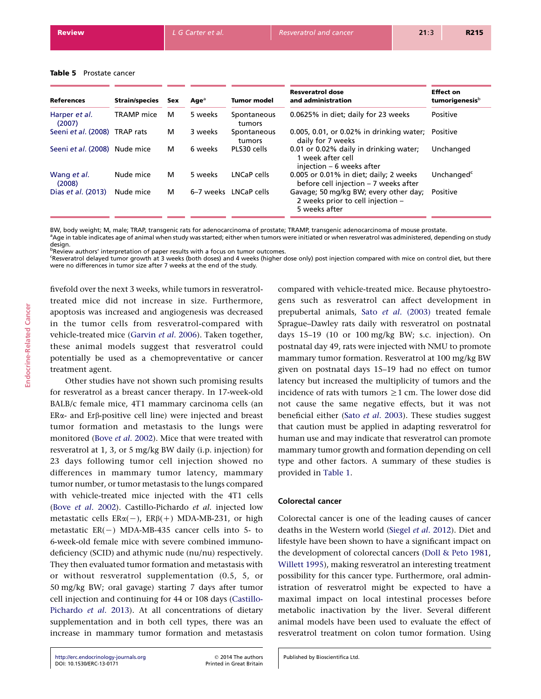#### <span id="page-8-0"></span>Table 5 Prostate cancer

| <b>References</b>             | <b>Strain/species</b> | Sex | Age <sup>a</sup> | <b>Tumor model</b>    | <b>Resveratrol dose</b><br>and administration                                               | <b>Effect on</b><br>tumorigenesis <sup>b</sup> |  |
|-------------------------------|-----------------------|-----|------------------|-----------------------|---------------------------------------------------------------------------------------------|------------------------------------------------|--|
| Harper et al.<br>(2007)       | <b>TRAMP</b> mice     | м   | 5 weeks          | Spontaneous<br>tumors | 0.0625% in diet; daily for 23 weeks                                                         | Positive                                       |  |
| Seeni <i>et al.</i> (2008)    | <b>TRAP rats</b>      | м   | 3 weeks          | Spontaneous<br>tumors | 0.005, 0.01, or 0.02% in drinking water; Positive<br>daily for 7 weeks                      |                                                |  |
| Seeni et al. (2008) Nude mice |                       | м   | 6 weeks          | PLS30 cells           | 0.01 or 0.02% daily in drinking water;<br>1 week after cell<br>injection - 6 weeks after    | Unchanged                                      |  |
| Wang et al.<br>(2008)         | Nude mice             | м   | 5 weeks          | LNCaP cells           | 0.005 or 0.01% in diet; daily; 2 weeks<br>before cell injection - 7 weeks after             | Unchanged <sup>c</sup>                         |  |
| Dias et al. (2013)            | Nude mice             | м   |                  | 6-7 weeks LNCaP cells | Gavage; 50 mg/kg BW; every other day;<br>2 weeks prior to cell injection -<br>5 weeks after | Positive                                       |  |

BW, body weight; M, male; TRAP, transgenic rats for adenocarcinoma of prostate; TRAMP, transgenic adenocarcinoma of mouse prostate.

<sup>a</sup>Age in table indicates age of animal when study was started; either when tumors were initiated or when resveratrol was administered, depending on study design.

<sup>b</sup>Review authors' interpretation of paper results with a focus on tumor outcomes.

c Resveratrol delayed tumor growth at 3 weeks (both doses) and 4 weeks (higher dose only) post injection compared with mice on control diet, but there were no differences in tumor size after 7 weeks at the end of the study.

fivefold over the next 3 weeks, while tumors in resveratroltreated mice did not increase in size. Furthermore, apoptosis was increased and angiogenesis was decreased in the tumor cells from resveratrol-compared with vehicle-treated mice ([Garvin](#page-15-0) et al. 2006). Taken together, these animal models suggest that resveratrol could potentially be used as a chemopreventative or cancer treatment agent.

Other studies have not shown such promising results for resveratrol as a breast cancer therapy. In 17-week-old BALB/c female mice, 4T1 mammary carcinoma cells (an  $ER\alpha$ - and  $Er\beta$ -positive cell line) were injected and breast tumor formation and metastasis to the lungs were monitored (Bove et al[. 2002](#page-14-0)). Mice that were treated with resveratrol at 1, 3, or 5 mg/kg BW daily (i.p. injection) for 23 days following tumor cell injection showed no differences in mammary tumor latency, mammary tumor number, or tumor metastasis to the lungs compared with vehicle-treated mice injected with the 4T1 cells (Bove et al[. 2002](#page-14-0)). Castillo-Pichardo et al. injected low metastatic cells  $ER\alpha(-)$ ,  $ER\beta(+)$  MDA-MB-231, or high metastatic  $ER(-) MDA-MB-435$  cancer cells into 5- to 6-week-old female mice with severe combined immunodeficiency (SCID) and athymic nude (nu/nu) respectively. They then evaluated tumor formation and metastasis with or without resveratrol supplementation (0.5, 5, or 50 mg/kg BW; oral gavage) starting 7 days after tumor cell injection and continuing for 44 or 108 days ([Castillo-](#page-15-0)[Pichardo](#page-15-0) et al. 2013). At all concentrations of dietary supplementation and in both cell types, there was an increase in mammary tumor formation and metastasis

compared with vehicle-treated mice. Because phytoestrogens such as resveratrol can affect development in prepubertal animals, Sato et al[. \(2003\)](#page-17-0) treated female Sprague–Dawley rats daily with resveratrol on postnatal days 15–19 (10 or 100 mg/kg BW; s.c. injection). On postnatal day 49, rats were injected with NMU to promote mammary tumor formation. Resveratrol at 100 mg/kg BW given on postnatal days 15–19 had no effect on tumor latency but increased the multiplicity of tumors and the incidence of rats with tumors  $\geq$ 1 cm. The lower dose did not cause the same negative effects, but it was not beneficial either (Sato et al[. 2003\)](#page-17-0). These studies suggest that caution must be applied in adapting resveratrol for human use and may indicate that resveratrol can promote mammary tumor growth and formation depending on cell type and other factors. A summary of these studies is provided in [Table 1](#page-4-0).

#### Colorectal cancer

Colorectal cancer is one of the leading causes of cancer deaths in the Western world (Siegel et al[. 2012\)](#page-17-0). Diet and lifestyle have been shown to have a significant impact on the development of colorectal cancers ([Doll & Peto 1981,](#page-15-0) [Willett 1995](#page-18-0)), making resveratrol an interesting treatment possibility for this cancer type. Furthermore, oral administration of resveratrol might be expected to have a maximal impact on local intestinal processes before metabolic inactivation by the liver. Several different animal models have been used to evaluate the effect of resveratrol treatment on colon tumor formation. Using

Endocrine-Related Cancer

**Endocrine-Related Cancer**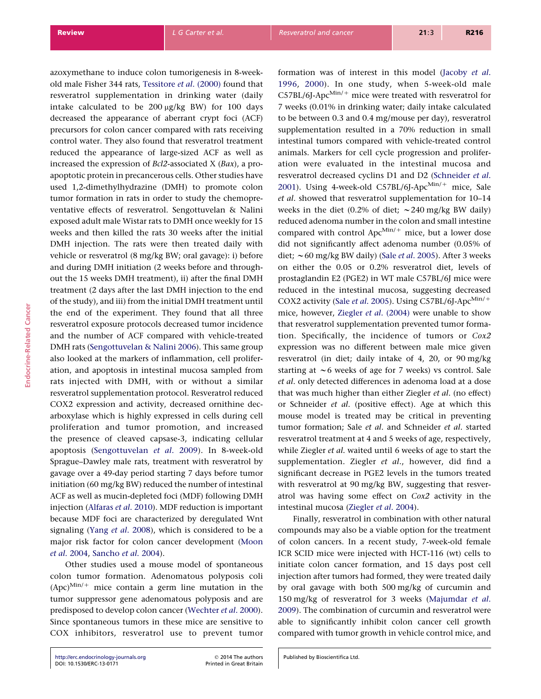azoxymethane to induce colon tumorigenesis in 8-weekold male Fisher 344 rats, [Tessitore](#page-17-0) et al. (2000) found that resveratrol supplementation in drinking water (daily intake calculated to be  $200 \mu g/kg$  BW) for 100 days decreased the appearance of aberrant crypt foci (ACF) precursors for colon cancer compared with rats receiving control water. They also found that resveratrol treatment reduced the appearance of large-sized ACF as well as increased the expression of Bcl2-associated X (Bax), a proapoptotic protein in precancerous cells. Other studies have used 1,2-dimethylhydrazine (DMH) to promote colon tumor formation in rats in order to study the chemopreventative effects of resveratrol. Sengottuvelan & Nalini exposed adult male Wistar rats to DMH once weekly for 15 weeks and then killed the rats 30 weeks after the initial DMH injection. The rats were then treated daily with vehicle or resveratrol (8 mg/kg BW; oral gavage): i) before and during DMH initiation (2 weeks before and throughout the 15 weeks DMH treatment), ii) after the final DMH treatment (2 days after the last DMH injection to the end of the study), and iii) from the initial DMH treatment until the end of the experiment. They found that all three resveratrol exposure protocols decreased tumor incidence and the number of ACF compared with vehicle-treated DMH rats ([Sengottuvelan & Nalini 2006\)](#page-17-0). This same group also looked at the markers of inflammation, cell proliferation, and apoptosis in intestinal mucosa sampled from rats injected with DMH, with or without a similar resveratrol supplementation protocol. Resveratrol reduced COX2 expression and activity, decreased ornithine decarboxylase which is highly expressed in cells during cell proliferation and tumor promotion, and increased the presence of cleaved capsase-3, indicating cellular apoptosis [\(Sengottuvelan](#page-17-0) et al. 2009). In 8-week-old Sprague–Dawley male rats, treatment with resveratrol by gavage over a 49-day period starting 7 days before tumor initiation (60 mg/kg BW) reduced the number of intestinal ACF as well as mucin-depleted foci (MDF) following DMH injection ([Alfaras](#page-14-0) et al. 2010). MDF reduction is important because MDF foci are characterized by deregulated Wnt signaling (Yang et al[. 2008](#page-18-0)), which is considered to be a major risk factor for colon cancer development ([Moon](#page-16-0) et al[. 2004](#page-16-0), [Sancho](#page-17-0) et al. 2004).

Other studies used a mouse model of spontaneous colon tumor formation. Adenomatous polyposis coli  $(Apc)^{Min/+}$  mice contain a germ line mutation in the tumor suppressor gene adenomatous polyposis and are predisposed to develop colon cancer [\(Wechter](#page-18-0) et al. 2000). Since spontaneous tumors in these mice are sensitive to COX inhibitors, resveratrol use to prevent tumor formation was of interest in this model [\(Jacoby](#page-15-0) et al. [1996](#page-15-0), [2000\)](#page-15-0). In one study, when 5-week-old male C57BL/6J-Apc $^{Min/+}$  mice were treated with resveratrol for 7 weeks (0.01% in drinking water; daily intake calculated to be between 0.3 and 0.4 mg/mouse per day), resveratrol supplementation resulted in a 70% reduction in small intestinal tumors compared with vehicle-treated control animals. Markers for cell cycle progression and proliferation were evaluated in the intestinal mucosa and resveratrol decreased cyclins D1 and D2 ([Schneider](#page-17-0) et al. [2001](#page-17-0)). Using 4-week-old C57BL/6J-Apc $\frac{\text{Min}}{}$  mice, Sale et al. showed that resveratrol supplementation for 10–14 weeks in the diet (0.2% of diet;  $\sim$  240 mg/kg BW daily) reduced adenoma number in the colon and small intestine compared with control  $Apc^{Min/+}$  mice, but a lower dose did not significantly affect adenoma number (0.05% of diet;  $\sim$  60 mg/kg BW daily) (Sale *et al.* 2005). After 3 weeks on either the 0.05 or 0.2% resveratrol diet, levels of prostaglandin E2 (PGE2) in WT male C57BL/6J mice were reduced in the intestinal mucosa, suggesting decreased COX2 activity (Sale et al[. 2005](#page-17-0)). Using C57BL/6J-Apc $^{\text{Min}/+}$ mice, however, Ziegler et al[. \(2004\)](#page-18-0) were unable to show that resveratrol supplementation prevented tumor formation. Specifically, the incidence of tumors or Cox2 expression was no different between male mice given resveratrol (in diet; daily intake of 4, 20, or 90 mg/kg starting at  $\sim$  6 weeks of age for 7 weeks) vs control. Sale et al. only detected differences in adenoma load at a dose that was much higher than either Ziegler et al. (no effect) or Schneider et al. (positive effect). Age at which this mouse model is treated may be critical in preventing tumor formation; Sale et al. and Schneider et al. started resveratrol treatment at 4 and 5 weeks of age, respectively, while Ziegler et al. waited until 6 weeks of age to start the supplementation. Ziegler et al., however, did find a significant decrease in PGE2 levels in the tumors treated with resveratrol at 90 mg/kg BW, suggesting that resveratrol was having some effect on Cox2 activity in the

Finally, resveratrol in combination with other natural compounds may also be a viable option for the treatment of colon cancers. In a recent study, 7-week-old female ICR SCID mice were injected with HCT-116 (wt) cells to initiate colon cancer formation, and 15 days post cell injection after tumors had formed, they were treated daily by oral gavage with both 500 mg/kg of curcumin and 150 mg/kg of resveratrol for 3 weeks [\(Majumdar](#page-16-0) et al. [2009](#page-16-0)). The combination of curcumin and resveratrol were able to significantly inhibit colon cancer cell growth compared with tumor growth in vehicle control mice, and

intestinal mucosa ([Ziegler](#page-18-0) et al. 2004).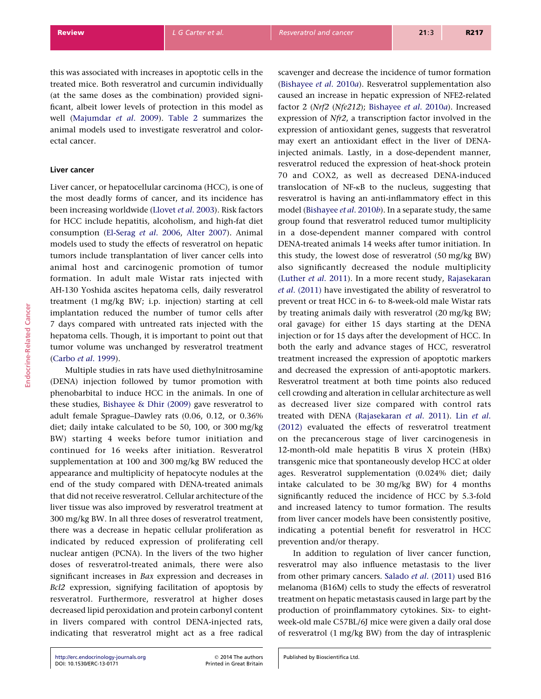this was associated with increases in apoptotic cells in the treated mice. Both resveratrol and curcumin individually (at the same doses as the combination) provided significant, albeit lower levels of protection in this model as well [\(Majumdar](#page-16-0) et al. 2009). [Table 2](#page-5-0) summarizes the animal models used to investigate resveratrol and colorectal cancer.

#### Liver cancer

Liver cancer, or hepatocellular carcinoma (HCC), is one of the most deadly forms of cancer, and its incidence has been increasing worldwide ([Llovet](#page-16-0) et al. 2003). Risk factors for HCC include hepatitis, alcoholism, and high-fat diet consumption [\(El-Serag](#page-15-0) et al. 2006, [Alter 2007\)](#page-14-0). Animal models used to study the effects of resveratrol on hepatic tumors include transplantation of liver cancer cells into animal host and carcinogenic promotion of tumor formation. In adult male Wistar rats injected with AH-130 Yoshida ascites hepatoma cells, daily resveratrol treatment (1 mg/kg BW; i.p. injection) starting at cell implantation reduced the number of tumor cells after 7 days compared with untreated rats injected with the hepatoma cells. Though, it is important to point out that tumor volume was unchanged by resveratrol treatment (Carbo et al[. 1999\)](#page-15-0).

Multiple studies in rats have used diethylnitrosamine (DENA) injection followed by tumor promotion with phenobarbital to induce HCC in the animals. In one of these studies, [Bishayee & Dhir \(2009\)](#page-14-0) gave resveratrol to adult female Sprague–Dawley rats (0.06, 0.12, or 0.36% diet; daily intake calculated to be 50, 100, or 300 mg/kg BW) starting 4 weeks before tumor initiation and continued for 16 weeks after initiation. Resveratrol supplementation at 100 and 300 mg/kg BW reduced the appearance and multiplicity of hepatocyte nodules at the end of the study compared with DENA-treated animals that did not receive resveratrol. Cellular architecture of the liver tissue was also improved by resveratrol treatment at 300 mg/kg BW. In all three doses of resveratrol treatment, there was a decrease in hepatic cellular proliferation as indicated by reduced expression of proliferating cell nuclear antigen (PCNA). In the livers of the two higher doses of resveratrol-treated animals, there were also significant increases in Bax expression and decreases in Bcl2 expression, signifying facilitation of apoptosis by resveratrol. Furthermore, resveratrol at higher doses decreased lipid peroxidation and protein carbonyl content in livers compared with control DENA-injected rats, indicating that resveratrol might act as a free radical scavenger and decrease the incidence of tumor formation ([Bishayee](#page-14-0) et al. 2010a). Resveratrol supplementation also caused an increase in hepatic expression of NFE2-related factor 2 (Nrf2 (Nfe212); [Bishayee](#page-14-0) et al. 2010a). Increased expression of Nfr2, a transcription factor involved in the expression of antioxidant genes, suggests that resveratrol may exert an antioxidant effect in the liver of DENAinjected animals. Lastly, in a dose-dependent manner, resveratrol reduced the expression of heat-shock protein 70 and COX2, as well as decreased DENA-induced translocation of NF-kB to the nucleus, suggesting that resveratrol is having an anti-inflammatory effect in this model [\(Bishayee](#page-14-0) *et al.* 2010*b*). In a separate study, the same group found that resveratrol reduced tumor multiplicity in a dose-dependent manner compared with control DENA-treated animals 14 weeks after tumor initiation. In this study, the lowest dose of resveratrol (50 mg/kg BW) also significantly decreased the nodule multiplicity ([Luther](#page-16-0) et al. 2011). In a more recent study, [Rajasekaran](#page-17-0) et al[. \(2011\)](#page-17-0) have investigated the ability of resveratrol to prevent or treat HCC in 6- to 8-week-old male Wistar rats by treating animals daily with resveratrol (20 mg/kg BW; oral gavage) for either 15 days starting at the DENA injection or for 15 days after the development of HCC. In both the early and advance stages of HCC, resveratrol treatment increased the expression of apoptotic markers and decreased the expression of anti-apoptotic markers. Resveratrol treatment at both time points also reduced cell crowding and alteration in cellular architecture as well as decreased liver size compared with control rats treated with DENA [\(Rajasekaran](#page-17-0) et al. 2011). Lin [et al](#page-16-0). [\(2012\)](#page-16-0) evaluated the effects of resveratrol treatment on the precancerous stage of liver carcinogenesis in 12-month-old male hepatitis B virus X protein (HBx) transgenic mice that spontaneously develop HCC at older ages. Resveratrol supplementation (0.024% diet; daily intake calculated to be 30 mg/kg BW) for 4 months significantly reduced the incidence of HCC by 5.3-fold and increased latency to tumor formation. The results from liver cancer models have been consistently positive, indicating a potential benefit for resveratrol in HCC prevention and/or therapy.

In addition to regulation of liver cancer function, resveratrol may also influence metastasis to the liver from other primary cancers. Salado et al[. \(2011\)](#page-17-0) used B16 melanoma (B16M) cells to study the effects of resveratrol treatment on hepatic metastasis caused in large part by the production of proinflammatory cytokines. Six- to eightweek-old male C57BL/6J mice were given a daily oral dose of resveratrol (1 mg/kg BW) from the day of intrasplenic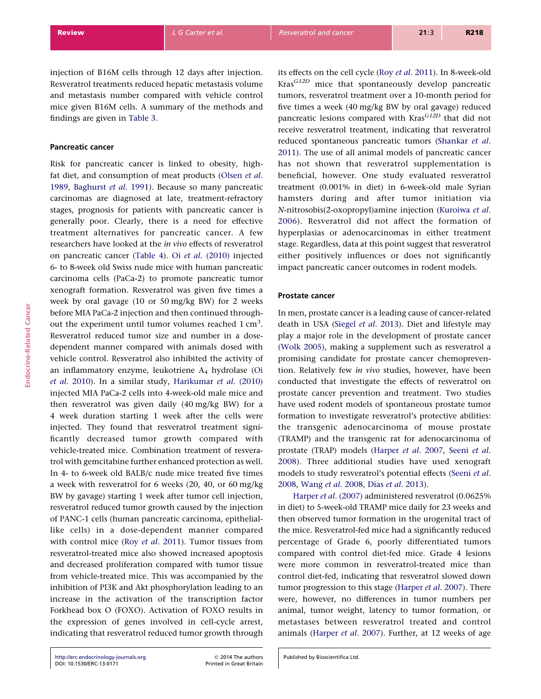injection of B16M cells through 12 days after injection. Resveratrol treatments reduced hepatic metastasis volume and metastasis number compared with vehicle control mice given B16M cells. A summary of the methods and findings are given in [Table 3](#page-6-0).

#### Pancreatic cancer

Risk for pancreatic cancer is linked to obesity, highfat diet, and consumption of meat products [\(Olsen](#page-16-0) et al. [1989](#page-16-0), [Baghurst](#page-14-0) et al. 1991). Because so many pancreatic carcinomas are diagnosed at late, treatment-refractory stages, prognosis for patients with pancreatic cancer is generally poor. Clearly, there is a need for effective treatment alternatives for pancreatic cancer. A few researchers have looked at the in vivo effects of resveratrol on pancreatic cancer [\(Table 4\)](#page-7-0). Oi et al[. \(2010\)](#page-16-0) injected 6- to 8-week old Swiss nude mice with human pancreatic carcinoma cells (PaCa-2) to promote pancreatic tumor xenograft formation. Resveratrol was given five times a week by oral gavage (10 or 50 mg/kg BW) for 2 weeks before MIA PaCa-2 injection and then continued throughout the experiment until tumor volumes reached  $1 \text{ cm}^3$ . Resveratrol reduced tumor size and number in a dosedependent manner compared with animals dosed with vehicle control. Resveratrol also inhibited the activity of an inflammatory enzyme, leukotriene A<sub>4</sub> hydrolase ([Oi](#page-16-0) et al[. 2010](#page-16-0)). In a similar study, [Harikumar](#page-15-0) et al. (2010) injected MIA PaCa-2 cells into 4-week-old male mice and then resveratrol was given daily (40 mg/kg BW) for a 4 week duration starting 1 week after the cells were injected. They found that resveratrol treatment significantly decreased tumor growth compared with vehicle-treated mice. Combination treatment of resveratrol with gemcitabine further enhanced protection as well. In 4- to 6-week old BALB/c nude mice treated five times a week with resveratrol for 6 weeks (20, 40, or 60 mg/kg BW by gavage) starting 1 week after tumor cell injection, resveratrol reduced tumor growth caused by the injection of PANC-1 cells (human pancreatic carcinoma, epitheliallike cells) in a dose-dependent manner compared with control mice (Roy et al[. 2011](#page-17-0)). Tumor tissues from resveratrol-treated mice also showed increased apoptosis and decreased proliferation compared with tumor tissue from vehicle-treated mice. This was accompanied by the inhibition of PI3K and Akt phosphorylation leading to an increase in the activation of the transcription factor Forkhead box O (FOXO). Activation of FOXO results in the expression of genes involved in cell-cycle arrest, indicating that resveratrol reduced tumor growth through

**Endocrine-Related Cancer** Endocrine-Related Cancer its effects on the cell cycle (Roy et al[. 2011](#page-17-0)). In 8-week-old Kras<sup>G12D</sup> mice that spontaneously develop pancreatic tumors, resveratrol treatment over a 10-month period for five times a week (40 mg/kg BW by oral gavage) reduced pancreatic lesions compared with  $Kras^{G12D}$  that did not receive resveratrol treatment, indicating that resveratrol reduced spontaneous pancreatic tumors ([Shankar](#page-17-0) et al. [2011](#page-17-0)). The use of all animal models of pancreatic cancer has not shown that resveratrol supplementation is beneficial, however. One study evaluated resveratrol treatment (0.001% in diet) in 6-week-old male Syrian hamsters during and after tumor initiation via N-nitrosobis(2-oxopropyl)amine injection [\(Kuroiwa](#page-16-0) et al. [2006](#page-16-0)). Resveratrol did not affect the formation of hyperplasias or adenocarcinomas in either treatment stage. Regardless, data at this point suggest that resveratrol either positively influences or does not significantly impact pancreatic cancer outcomes in rodent models.

#### Prostate cancer

In men, prostate cancer is a leading cause of cancer-related death in USA (Siegel et al[. 2013](#page-17-0)). Diet and lifestyle may play a major role in the development of prostate cancer ([Wolk 2005](#page-18-0)), making a supplement such as resveratrol a promising candidate for prostate cancer chemoprevention. Relatively few in vivo studies, however, have been conducted that investigate the effects of resveratrol on prostate cancer prevention and treatment. Two studies have used rodent models of spontaneous prostate tumor formation to investigate resveratrol's protective abilities: the transgenic adenocarcinoma of mouse prostate (TRAMP) and the transgenic rat for adenocarcinoma of prostate (TRAP) models ([Harper](#page-15-0) et al. 2007, [Seeni](#page-17-0) et al. [2008\)](#page-17-0). Three additional studies have used xenograft models to study resveratrol's potential effects ([Seeni](#page-17-0) et al. [2008](#page-17-0), Wang et al[. 2008,](#page-18-0) Dias et al[. 2013\)](#page-15-0).

Harper et al[. \(2007\)](#page-15-0) administered resveratrol (0.0625% in diet) to 5-week-old TRAMP mice daily for 23 weeks and then observed tumor formation in the urogenital tract of the mice. Resveratrol-fed mice had a significantly reduced percentage of Grade 6, poorly differentiated tumors compared with control diet-fed mice. Grade 4 lesions were more common in resveratrol-treated mice than control diet-fed, indicating that resveratrol slowed down tumor progression to this stage ([Harper](#page-15-0) et al. 2007). There were, however, no differences in tumor numbers per animal, tumor weight, latency to tumor formation, or metastases between resveratrol treated and control animals [\(Harper](#page-15-0) et al. 2007). Further, at 12 weeks of age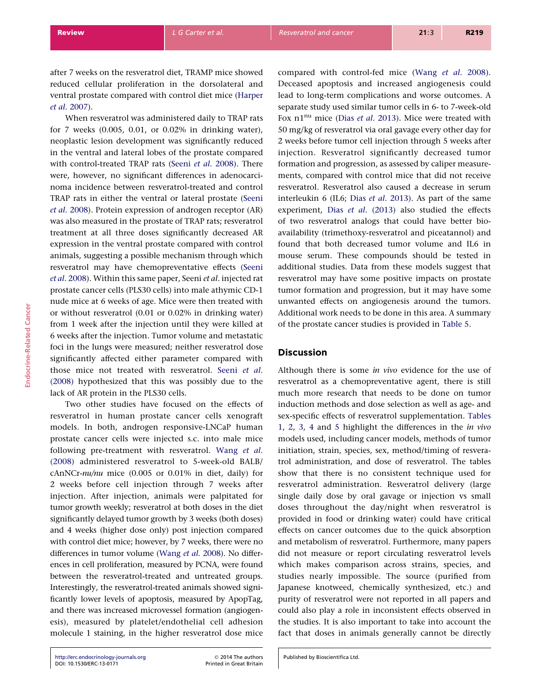after 7 weeks on the resveratrol diet, TRAMP mice showed reduced cellular proliferation in the dorsolateral and ventral prostate compared with control diet mice [\(Harper](#page-15-0) et al[. 2007](#page-15-0)).

When resveratrol was administered daily to TRAP rats for 7 weeks (0.005, 0.01, or 0.02% in drinking water), neoplastic lesion development was significantly reduced in the ventral and lateral lobes of the prostate compared with control-treated TRAP rats (Seeni et al[. 2008](#page-17-0)). There were, however, no significant differences in adenocarcinoma incidence between resveratrol-treated and control TRAP rats in either the ventral or lateral prostate ([Seeni](#page-17-0) et al[. 2008\)](#page-17-0). Protein expression of androgen receptor (AR) was also measured in the prostate of TRAP rats; resveratrol treatment at all three doses significantly decreased AR expression in the ventral prostate compared with control animals, suggesting a possible mechanism through which resveratrol may have chemopreventative effects ([Seeni](#page-17-0) et al[. 2008\)](#page-17-0). Within this same paper, Seeni et al. injected rat prostate cancer cells (PLS30 cells) into male athymic CD-1 nude mice at 6 weeks of age. Mice were then treated with or without resveratrol (0.01 or 0.02% in drinking water) from 1 week after the injection until they were killed at 6 weeks after the injection. Tumor volume and metastatic foci in the lungs were measured; neither resveratrol dose significantly affected either parameter compared with those mice not treated with resveratrol. [Seeni](#page-17-0) et al. [\(2008\)](#page-17-0) hypothesized that this was possibly due to the lack of AR protein in the PLS30 cells.

Two other studies have focused on the effects of resveratrol in human prostate cancer cells xenograft models. In both, androgen responsive-LNCaP human prostate cancer cells were injected s.c. into male mice following pre-treatment with resveratrol. [Wang](#page-18-0) et al. [\(2008\)](#page-18-0) administered resveratrol to 5-week-old BALB/ cAnNCr-nu/nu mice (0.005 or 0.01% in diet, daily) for 2 weeks before cell injection through 7 weeks after injection. After injection, animals were palpitated for tumor growth weekly; resveratrol at both doses in the diet significantly delayed tumor growth by 3 weeks (both doses) and 4 weeks (higher dose only) post injection compared with control diet mice; however, by 7 weeks, there were no differences in tumor volume (Wang et al[. 2008\)](#page-18-0). No differences in cell proliferation, measured by PCNA, were found between the resveratrol-treated and untreated groups. Interestingly, the resveratrol-treated animals showed significantly lower levels of apoptosis, measured by ApopTag, and there was increased microvessel formation (angiogenesis), measured by platelet/endothelial cell adhesion molecule 1 staining, in the higher resveratrol dose mice

compared with control-fed mice (Wang et al[. 2008\)](#page-18-0). Deceased apoptosis and increased angiogenesis could lead to long-term complications and worse outcomes. A separate study used similar tumor cells in 6- to 7-week-old Fox  $n1^{nu}$  mice (Dias et al[. 2013](#page-15-0)). Mice were treated with 50 mg/kg of resveratrol via oral gavage every other day for 2 weeks before tumor cell injection through 5 weeks after injection. Resveratrol significantly decreased tumor formation and progression, as assessed by caliper measurements, compared with control mice that did not receive resveratrol. Resveratrol also caused a decrease in serum interleukin 6 (IL6; Dias et al[. 2013](#page-15-0)). As part of the same experiment, Dias et al[. \(2013\)](#page-15-0) also studied the effects of two resveratrol analogs that could have better bioavailability (trimethoxy-resveratrol and piceatannol) and found that both decreased tumor volume and IL6 in mouse serum. These compounds should be tested in additional studies. Data from these models suggest that resveratrol may have some positive impacts on prostate tumor formation and progression, but it may have some unwanted effects on angiogenesis around the tumors. Additional work needs to be done in this area. A summary of the prostate cancer studies is provided in [Table 5.](#page-8-0)

#### **Discussion**

Although there is some in vivo evidence for the use of resveratrol as a chemopreventative agent, there is still much more research that needs to be done on tumor induction methods and dose selection as well as age- and sex-specific effects of resveratrol supplementation. [Tables](#page-4-0) [1,](#page-4-0) [2,](#page-5-0) [3](#page-6-0), [4](#page-7-0) and [5](#page-8-0) highlight the differences in the in vivo models used, including cancer models, methods of tumor initiation, strain, species, sex, method/timing of resveratrol administration, and dose of resveratrol. The tables show that there is no consistent technique used for resveratrol administration. Resveratrol delivery (large single daily dose by oral gavage or injection vs small doses throughout the day/night when resveratrol is provided in food or drinking water) could have critical effects on cancer outcomes due to the quick absorption and metabolism of resveratrol. Furthermore, many papers did not measure or report circulating resveratrol levels which makes comparison across strains, species, and studies nearly impossible. The source (purified from Japanese knotweed, chemically synthesized, etc.) and purity of resveratrol were not reported in all papers and could also play a role in inconsistent effects observed in the studies. It is also important to take into account the fact that doses in animals generally cannot be directly

<http://erc.endocrinology-journals.org> [DOI: 10.1530/ERC-13-0171](http://dx.doi.org/10.1530/ERC-13-0171)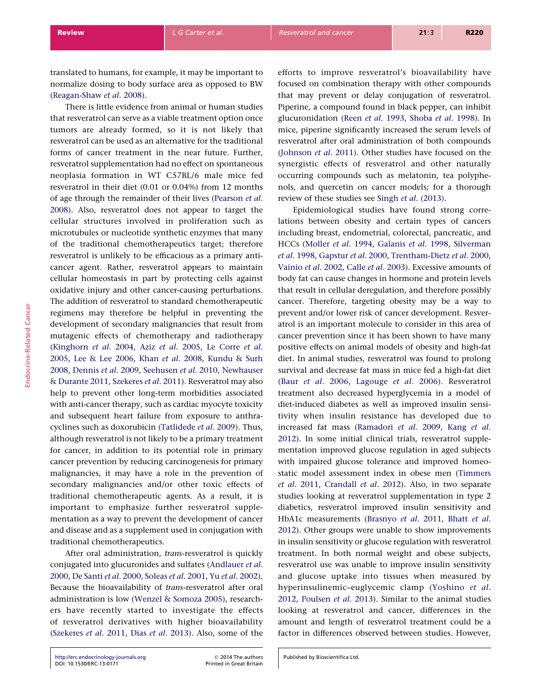translated to humans, for example, it may be important to normalize dosing to body surface area as opposed to BW ([Reagan-Shaw](#page-17-0) et al. 2008).

There is little evidence from animal or human studies that resveratrol can serve as a viable treatment option once tumors are already formed, so it is not likely that resveratrol can be used as an alternative for the traditional forms of cancer treatment in the near future. Further, resveratrol supplementation had no effect on spontaneous neoplasia formation in WT C57BL/6 male mice fed resveratrol in their diet (0.01 or 0.04%) from 12 months of age through the remainder of their lives ([Pearson](#page-16-0) et al. [2008](#page-16-0)). Also, resveratrol does not appear to target the cellular structures involved in proliferation such as microtubules or nucleotide synthetic enzymes that many of the traditional chemotherapeutics target; therefore resveratrol is unlikely to be efficacious as a primary anticancer agent. Rather, resveratrol appears to maintain cellular homeostasis in part by protecting cells against oxidative injury and other cancer-causing perturbations. The addition of resveratrol to standard chemotherapeutic regimens may therefore be helpful in preventing the development of secondary malignancies that result from mutagenic effects of chemotherapy and radiotherapy ([Kinghorn](#page-16-0) et al. 2004, Aziz et al[. 2005,](#page-14-0) [Le Corre](#page-16-0) et al. [2005](#page-16-0), [Lee & Lee 2006](#page-16-0), Khan et al[. 2008,](#page-16-0) [Kundu & Surh](#page-16-0) [2008](#page-16-0), [Dennis](#page-15-0) et al. 2009, [Seehusen](#page-17-0) et al. 2010, [Newhauser](#page-16-0) [& Durante 2011,](#page-16-0) [Szekeres](#page-17-0) et al. 2011). Resveratrol may also help to prevent other long-term morbidities associated with anti-cancer therapy, such as cardiac myocyte toxicity and subsequent heart failure from exposure to anthracyclines such as doxorubicin [\(Tatlidede](#page-17-0) et al. 2009). Thus, although resveratrol is not likely to be a primary treatment for cancer, in addition to its potential role in primary cancer prevention by reducing carcinogenesis for primary malignancies, it may have a role in the prevention of secondary malignancies and/or other toxic effects of traditional chemotherapeutic agents. As a result, it is important to emphasize further resveratrol supplementation as a way to prevent the development of cancer and disease and as a supplement used in conjugation with traditional chemotherapeutics.

After oral administration, trans-resveratrol is quickly conjugated into glucuronides and sulfates [\(Andlauer](#page-14-0) et al. [2000](#page-14-0), [De Santi](#page-15-0) et al. 2000, Soleas et al[. 2001,](#page-17-0) Yu et al[. 2002\)](#page-18-0). Because the bioavailability of trans-resveratrol after oral administration is low [\(Wenzel & Somoza 2005\)](#page-18-0), researchers have recently started to investigate the effects of resveratrol derivatives with higher bioavailability ([Szekeres](#page-17-0) et al. 2011, Dias et al[. 2013\)](#page-15-0). Also, some of the

efforts to improve resveratrol's bioavailability have focused on combination therapy with other compounds that may prevent or delay conjugation of resveratrol. Piperine, a compound found in black pepper, can inhibit glucuronidation (Reen et al[. 1993,](#page-17-0) Shoba et al[. 1998](#page-17-0)). In mice, piperine significantly increased the serum levels of resveratrol after oral administration of both compounds ([Johnson](#page-15-0) et al. 2011). Other studies have focused on the synergistic effects of resveratrol and other naturally occurring compounds such as melatonin, tea polyphenols, and quercetin on cancer models; for a thorough review of these studies see Singh et al[. \(2013\).](#page-17-0)

Epidemiological studies have found strong correlations between obesity and certain types of cancers including breast, endometrial, colorectal, pancreatic, and HCCs ([Moller](#page-16-0) et al. 1994, [Galanis](#page-15-0) et al. 1998, [Silverman](#page-17-0) et al[. 1998](#page-17-0), [Gapstur](#page-15-0) et al. 2000, [Trentham-Dietz](#page-18-0) et al. 2000, [Vainio](#page-18-0) et al. 2002, Calle et al[. 2003\)](#page-15-0). Excessive amounts of body fat can cause changes in hormone and protein levels that result in cellular deregulation, and therefore possibly cancer. Therefore, targeting obesity may be a way to prevent and/or lower risk of cancer development. Resveratrol is an important molecule to consider in this area of cancer prevention since it has been shown to have many positive effects on animal models of obesity and high-fat diet. In animal studies, resveratrol was found to prolong survival and decrease fat mass in mice fed a high-fat diet (Baur et al[. 2006](#page-14-0), [Lagouge](#page-16-0) et al. 2006). Resveratrol treatment also decreased hyperglycemia in a model of diet-induced diabetes as well as improved insulin sensitivity when insulin resistance has developed due to increased fat mass ([Ramadori](#page-17-0) et al. 2009, [Kang](#page-16-0) et al. [2012](#page-16-0)). In some initial clinical trials, resveratrol supplementation improved glucose regulation in aged subjects with impaired glucose tolerance and improved homeostatic model assessment index in obese men ([Timmers](#page-17-0) et al[. 2011,](#page-17-0) [Crandall](#page-15-0) et al. 2012). Also, in two separate studies looking at resveratrol supplementation in type 2 diabetics, resveratrol improved insulin sensitivity and HbA1c measurements ([Brasnyo](#page-14-0) et al. 2011, [Bhatt](#page-14-0) et al. [2012](#page-14-0)). Other groups were unable to show improvements in insulin sensitivity or glucose regulation with resveratrol treatment. In both normal weight and obese subjects, resveratrol use was unable to improve insulin sensitivity and glucose uptake into tissues when measured by hyperinsulinemic–euglycemic clamp [\(Yoshino](#page-18-0) et al. [2012](#page-18-0), [Poulsen](#page-16-0) et al. 2013). Similar to the animal studies looking at resveratrol and cancer, differences in the amount and length of resveratrol treatment could be a factor in differences observed between studies. However,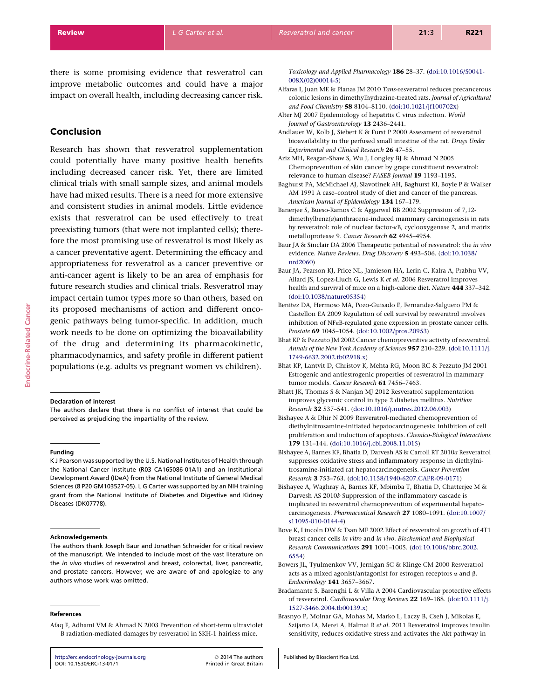<span id="page-14-0"></span>there is some promising evidence that resveratrol can improve metabolic outcomes and could have a major impact on overall health, including decreasing cancer risk.

#### Conclusion

Research has shown that resveratrol supplementation could potentially have many positive health benefits including decreased cancer risk. Yet, there are limited clinical trials with small sample sizes, and animal models have had mixed results. There is a need for more extensive and consistent studies in animal models. Little evidence exists that resveratrol can be used effectively to treat preexisting tumors (that were not implanted cells); therefore the most promising use of resveratrol is most likely as a cancer preventative agent. Determining the efficacy and appropriateness for resveratrol as a cancer preventive or anti-cancer agent is likely to be an area of emphasis for future research studies and clinical trials. Resveratrol may impact certain tumor types more so than others, based on its proposed mechanisms of action and different oncogenic pathways being tumor-specific. In addition, much work needs to be done on optimizing the bioavailability of the drug and determining its pharmacokinetic, pharmacodynamics, and safety profile in different patient populations (e.g. adults vs pregnant women vs children).

The authors declare that there is no conflict of interest that could be perceived as prejudicing the impartiality of the review.

#### Funding

K J Pearson was supported by the U.S. National Institutes of Health through the National Cancer Institute (R03 CA165086-01A1) and an Institutional Development Award (IDeA) from the National Institute of General Medical Sciences (8 P20 GM103527-05). L G Carter was supported by an NIH training grant from the National Institute of Diabetes and Digestive and Kidney Diseases (DK07778).

#### Acknowledgements

The authors thank Joseph Baur and Jonathan Schneider for critical review of the manuscript. We intended to include most of the vast literature on the in vivo studies of resveratrol and breast, colorectal, liver, pancreatic, and prostate cancers. However, we are aware of and apologize to any authors whose work was omitted.

#### References

Toxicology and Applied Pharmacology 186 28–37. [\(doi:10.1016/S0041-](http://dx.doi.org/10.1016/S0041-008X(02)00014-5) [008X\(02\)00014-5](http://dx.doi.org/10.1016/S0041-008X(02)00014-5))

- Alfaras I, Juan ME & Planas JM 2010 Tans-resveratrol reduces precancerous colonic lesions in dimethylhydrazine-treated rats. Journal of Agricultural and Food Chemistry 58 8104–8110. ([doi:10.1021/jf100702x\)](http://dx.doi.org/10.1021/jf100702x)
- Alter MJ 2007 Epidemiology of hepatitis C virus infection. World Journal of Gastroenterology 13 2436–2441.
- Andlauer W, Kolb J, Siebert K & Furst P 2000 Assessment of resveratrol bioavailability in the perfused small intestine of the rat. Drugs Under Experimental and Clinical Research 26 47–55.
- Aziz MH, Reagan-Shaw S, Wu J, Longley BJ & Ahmad N 2005 Chemoprevention of skin cancer by grape constituent resveratrol: relevance to human disease? FASEB Journal 19 1193–1195.
- Baghurst PA, McMichael AJ, Slavotinek AH, Baghurst KI, Boyle P & Walker AM 1991 A case–control study of diet and cancer of the pancreas. American Journal of Epidemiology 134 167-179.
- Banerjee S, Bueso-Ramos C & Aggarwal BB 2002 Suppression of 7,12 dimethylbenz(a)anthracene-induced mammary carcinogenesis in rats by resveratrol: role of nuclear factor-kB, cyclooxygenase 2, and matrix metalloprotease 9. Cancer Research 62 4945–4954.
- Baur JA & Sinclair DA 2006 Therapeutic potential of resveratrol: the in vivo evidence. Nature Reviews. Drug Discovery 5 493–506. ([doi:10.1038/](http://dx.doi.org/10.1038/nrd2060) [nrd2060](http://dx.doi.org/10.1038/nrd2060))
- Baur JA, Pearson KJ, Price NL, Jamieson HA, Lerin C, Kalra A, Prabhu VV, Allard JS, Lopez-Lluch G, Lewis K et al. 2006 Resveratrol improves health and survival of mice on a high-calorie diet. Nature 444 337–342. [\(doi:10.1038/nature05354\)](http://dx.doi.org/10.1038/nature05354)
- Benitez DA, Hermoso MA, Pozo-Guisado E, Fernandez-Salguero PM & Castellon EA 2009 Regulation of cell survival by resveratrol involves inhibition of NFkB-regulated gene expression in prostate cancer cells. Prostate 69 1045–1054. ([doi:10.1002/pros.20953](http://dx.doi.org/10.1002/pros.20953))
- Bhat KP & Pezzuto JM 2002 Cancer chemopreventive activity of resveratrol. Annals of the New York Academy of Sciences 957 210-229. [\(doi:10.1111/j.](http://dx.doi.org/10.1111/j.1749-6632.2002.tb02918.x) [1749-6632.2002.tb02918.x\)](http://dx.doi.org/10.1111/j.1749-6632.2002.tb02918.x)
- Bhat KP, Lantvit D, Christov K, Mehta RG, Moon RC & Pezzuto JM 2001 Estrogenic and antiestrogenic properties of resveratrol in mammary tumor models. Cancer Research 61 7456-7463.
- Bhatt JK, Thomas S & Nanjan MJ 2012 Resveratrol supplementation improves glycemic control in type 2 diabetes mellitus. Nutrition Research 32 537–541. ([doi:10.1016/j.nutres.2012.06.003](http://dx.doi.org/10.1016/j.nutres.2012.06.003))
- Bishayee A & Dhir N 2009 Resveratrol-mediated chemoprevention of diethylnitrosamine-initiated hepatocarcinogenesis: inhibition of cell proliferation and induction of apoptosis. Chemico-Biological Interactions 179 131–144. ([doi:10.1016/j.cbi.2008.11.015](http://dx.doi.org/10.1016/j.cbi.2008.11.015))
- Bishayee A, Barnes KF, Bhatia D, Darvesh AS & Carroll RT 2010a Resveratrol suppresses oxidative stress and inflammatory response in diethylnitrosamine-initiated rat hepatocarcinogenesis. Cancer Prevention Research 3 753–763. ([doi:10.1158/1940-6207.CAPR-09-0171](http://dx.doi.org/10.1158/1940-6207.CAPR-09-0171))
- Bishayee A, Waghray A, Barnes KF, Mbimba T, Bhatia D, Chatterjee M & Darvesh AS 2010b Suppression of the inflammatory cascade is implicated in resveratrol chemoprevention of experimental hepatocarcinogenesis. Pharmaceutical Research 27 1080–1091. [\(doi:10.1007/](http://dx.doi.org/10.1007/s11095-010-0144-4) [s11095-010-0144-4](http://dx.doi.org/10.1007/s11095-010-0144-4))
- Bove K, Lincoln DW & Tsan MF 2002 Effect of resveratrol on growth of 4T1 breast cancer cells in vitro and in vivo. Biochemical and Biophysical Research Communications 291 1001–1005. ([doi:10.1006/bbrc.2002.](http://dx.doi.org/10.1006/bbrc.2002.6554) [6554\)](http://dx.doi.org/10.1006/bbrc.2002.6554)
- Bowers JL, Tyulmenkov VV, Jernigan SC & Klinge CM 2000 Resveratrol acts as a mixed agonist/antagonist for estrogen receptors  $\alpha$  and  $\beta$ . Endocrinology 141 3657–3667.
- Bradamante S, Barenghi L & Villa A 2004 Cardiovascular protective effects of resveratrol. Cardiovascular Drug Reviews 22 169–188. ([doi:10.1111/j.](http://dx.doi.org/10.1111/j.1527-3466.2004.tb00139.x) [1527-3466.2004.tb00139.x\)](http://dx.doi.org/10.1111/j.1527-3466.2004.tb00139.x)
- Brasnyo P, Molnar GA, Mohas M, Marko L, Laczy B, Cseh J, Mikolas E, Szijarto IA, Merei A, Halmai R et al. 2011 Resveratrol improves insulin sensitivity, reduces oxidative stress and activates the Akt pathway in

Declaration of interest

Afaq F, Adhami VM & Ahmad N 2003 Prevention of short-term ultraviolet B radiation-mediated damages by resveratrol in SKH-1 hairless mice.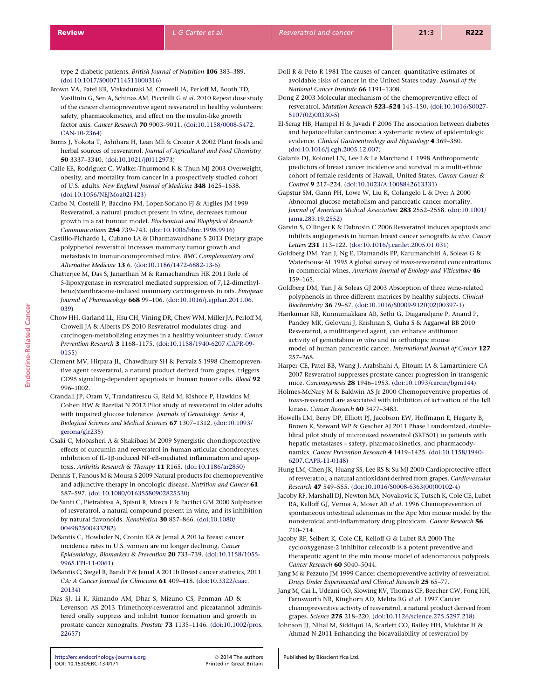<span id="page-15-0"></span>type 2 diabetic patients. British Journal of Nutrition 106 383–389. [\(doi:10.1017/S0007114511000316\)](http://dx.doi.org/10.1017/S0007114511000316)

- Brown VA, Patel KR, Viskaduraki M, Crowell JA, Perloff M, Booth TD, Vasilinin G, Sen A, Schinas AM, Piccirilli G et al. 2010 Repeat dose study of the cancer chemopreventive agent resveratrol in healthy volunteers: safety, pharmacokinetics, and effect on the insulin-like growth factor axis. Cancer Research 70 9003–9011. ([doi:10.1158/0008-5472.](http://dx.doi.org/10.1158/0008-5472.CAN-10-2364) [CAN-10-2364\)](http://dx.doi.org/10.1158/0008-5472.CAN-10-2364)
- Burns J, Yokota T, Ashihara H, Lean ME & Crozier A 2002 Plant foods and herbal sources of resveratrol. Journal of Agricultural and Food Chemistry 50 3337–3340. ([doi:10.1021/jf0112973](http://dx.doi.org/10.1021/jf0112973))
- Calle EE, Rodriguez C, Walker-Thurmond K & Thun MJ 2003 Overweight, obesity, and mortality from cancer in a prospectively studied cohort of U.S. adults. New England Journal of Medicine 348 1625–1638. [\(doi:10.1056/NEJMoa021423\)](http://dx.doi.org/10.1056/NEJMoa021423)
- Carbo N, Costelli P, Baccino FM, Lopez-Soriano FJ & Argiles JM 1999 Resveratrol, a natural product present in wine, decreases tumour growth in a rat tumour model. Biochemical and Biophysical Research Communications 254 739–743. ([doi:10.1006/bbrc.1998.9916](http://dx.doi.org/10.1006/bbrc.1998.9916))
- Castillo-Pichardo L, Cubano LA & Dharmawardhane S 2013 Dietary grape polyphenol resveratrol increases mammary tumor growth and metastasis in immunocompromised mice. BMC Complementary and Alternative Medicine 13 6. [\(doi:10.1186/1472-6882-13-6\)](http://dx.doi.org/10.1186/1472-6882-13-6)
- Chatterjee M, Das S, Janarthan M & Ramachandran HK 2011 Role of 5-lipoxygenase in resveratrol mediated suppression of 7,12-dimethyl $benz(\alpha)$ anthracene-induced mammary carcinogenesis in rats. European Journal of Pharmacology 668 99–106. [\(doi:10.1016/j.ejphar.2011.06.](http://dx.doi.org/10.1016/j.ejphar.2011.06.039) [039\)](http://dx.doi.org/10.1016/j.ejphar.2011.06.039)
- Chow HH, Garland LL, Hsu CH, Vining DR, Chew WM, Miller JA, Perloff M, Crowell JA & Alberts DS 2010 Resveratrol modulates drug- and carcinogen-metabolizing enzymes in a healthy volunteer study. Cancer Prevention Research 3 1168–1175. [\(doi:10.1158/1940-6207.CAPR-09-](http://dx.doi.org/10.1158/1940-6207.CAPR-09-0155) [0155\)](http://dx.doi.org/10.1158/1940-6207.CAPR-09-0155)
- Clement MV, Hirpara JL, Chawdhury SH & Pervaiz S 1998 Chemopreventive agent resveratrol, a natural product derived from grapes, triggers CD95 signaling-dependent apoptosis in human tumor cells. Blood 92 996–1002.
- Crandall JP, Oram V, Trandafirescu G, Reid M, Kishore P, Hawkins M, Cohen HW & Barzilai N 2012 Pilot study of resveratrol in older adults with impaired glucose tolerance. Journals of Gerontology. Series A, Biological Sciences and Medical Sciences 67 1307–1312. ([doi:10.1093/](http://dx.doi.org/10.1093/gerona/glr235) [gerona/glr235](http://dx.doi.org/10.1093/gerona/glr235))
- Csaki C, Mobasheri A & Shakibaei M 2009 Synergistic chondroprotective effects of curcumin and resveratrol in human articular chondrocytes: inhibition of IL-1 $\beta$ -induced NF- $\kappa$ B-mediated inflammation and apoptosis. Arthritis Research & Therapy 11 R165. [\(doi:10.1186/ar2850\)](http://dx.doi.org/10.1186/ar2850)
- Dennis T, Fanous M & Mousa S 2009 Natural products for chemopreventive and adjunctive therapy in oncologic disease. Nutrition and Cancer 61 587–597. ([doi:10.1080/01635580902825530](http://dx.doi.org/10.1080/01635580902825530))
- De Santi C, Pietrabissa A, Spisni R, Mosca F & Pacifici GM 2000 Sulphation of resveratrol, a natural compound present in wine, and its inhibition by natural flavonoids. Xenobiotica 30 857–866. [\(doi:10.1080/](http://dx.doi.org/10.1080/004982500433282) [004982500433282\)](http://dx.doi.org/10.1080/004982500433282)
- DeSantis C, Howlader N, Cronin KA & Jemal A 2011a Breast cancer incidence rates in U.S. women are no longer declining. Cancer Epidemiology, Biomarkers & Prevention 20 733–739. ([doi:10.1158/1055-](http://dx.doi.org/10.1158/1055-9965.EPI-11-0061) [9965.EPI-11-0061\)](http://dx.doi.org/10.1158/1055-9965.EPI-11-0061)
- DeSantis C, Siegel R, Bandi P & Jemal A 2011b Breast cancer statistics, 2011. CA: A Cancer Journal for Clinicians 61 409–418. ([doi:10.3322/caac.](http://dx.doi.org/10.3322/caac.20134) [20134\)](http://dx.doi.org/10.3322/caac.20134)
- Dias SJ, Li K, Rimando AM, Dhar S, Mizuno CS, Penman AD & Levenson AS 2013 Trimethoxy-resveratrol and piceatannol administered orally suppress and inhibit tumor formation and growth in prostate cancer xenografts. Prostate 73 1135–1146. [\(doi:10.1002/pros.](http://dx.doi.org/10.1002/pros.22657) [22657\)](http://dx.doi.org/10.1002/pros.22657)
- Doll R & Peto R 1981 The causes of cancer: quantitative estimates of avoidable risks of cancer in the United States today. Journal of the National Cancer Institute 66 1191–1308.
- Dong Z 2003 Molecular mechanism of the chemopreventive effect of resveratrol. Mutation Research 523–524 145–150. [\(doi:10.1016/S0027-](http://dx.doi.org/10.1016/S0027-5107(02)00330-5) [5107\(02\)00330-5\)](http://dx.doi.org/10.1016/S0027-5107(02)00330-5)
- El-Serag HB, Hampel H & Javadi F 2006 The association between diabetes and hepatocellular carcinoma: a systematic review of epidemiologic evidence. Clinical Gastroenterology and Hepatology 4 369-380. [\(doi:10.1016/j.cgh.2005.12.007\)](http://dx.doi.org/10.1016/j.cgh.2005.12.007)

Galanis DJ, Kolonel LN, Lee J & Le Marchand L 1998 Anthropometric predictors of breast cancer incidence and survival in a multi-ethnic cohort of female residents of Hawaii, United States. Cancer Causes & Control 9 217–224. [\(doi:10.1023/A:1008842613331](http://dx.doi.org/10.1023/A:1008842613331))

- Gapstur SM, Gann PH, Lowe W, Liu K, Colangelo L & Dyer A 2000 Abnormal glucose metabolism and pancreatic cancer mortality. Journal of American Medical Association 283 2552–2558. [\(doi:10.1001/](http://dx.doi.org/10.1001/jama.283.19.2552) [jama.283.19.2552\)](http://dx.doi.org/10.1001/jama.283.19.2552)
- Garvin S, Ollinger K & Dabrosin C 2006 Resveratrol induces apoptosis and inhibits angiogenesis in human breast cancer xenografts in vivo. Cancer Letters 231 113–122. ([doi:10.1016/j.canlet.2005.01.031](http://dx.doi.org/10.1016/j.canlet.2005.01.031))
- Goldberg DM, Yan J, Ng E, Diamandis EP, Karumanchiri A, Soleas G & Waterhouse AL 1995 A global survey of trans-resveratrol concentrations in commercial wines. American Journal of Enology and Viticulture 46 159–165.
- Goldberg DM, Yan J & Soleas GJ 2003 Absorption of three wine-related polyphenols in three different matrices by healthy subjects. Clinical Biochemistry 36 79–87. [\(doi:10.1016/S0009-9120\(02\)00397-1\)](http://dx.doi.org/10.1016/S0009-9120(02)00397-1)
- Harikumar KB, Kunnumakkara AB, Sethi G, Diagaradjane P, Anand P, Pandey MK, Gelovani J, Krishnan S, Guha S & Aggarwal BB 2010 Resveratrol, a multitargeted agent, can enhance antitumor activity of gemcitabine in vitro and in orthotopic mouse model of human pancreatic cancer. International Journal of Cancer 127 257–268.
- Harper CE, Patel BB, Wang J, Arabshahi A, Eltoum IA & Lamartiniere CA 2007 Resveratrol suppresses prostate cancer progression in transgenic mice. Carcinogenesis 28 1946–1953. ([doi:10.1093/carcin/bgm144](http://dx.doi.org/10.1093/carcin/bgm144))
- Holmes-McNary M & Baldwin AS Jr 2000 Chemopreventive properties of trans-resveratrol are associated with inhibition of activation of the IkB kinase. Cancer Research 60 3477–3483.
- Howells LM, Berry DP, Elliott PJ, Jacobson EW, Hoffmann E, Hegarty B, Brown K, Steward WP & Gescher AJ 2011 Phase I randomized, doubleblind pilot study of micronized resveratrol (SRT501) in patients with hepatic metastases – safety, pharmacokinetics, and pharmacodynamics. Cancer Prevention Research 4 1419–1425. ([doi:10.1158/1940-](http://dx.doi.org/10.1158/1940-6207.CAPR-11-0148) [6207.CAPR-11-0148\)](http://dx.doi.org/10.1158/1940-6207.CAPR-11-0148)
- Hung LM, Chen JK, Huang SS, Lee RS & Su MJ 2000 Cardioprotective effect of resveratrol, a natural antioxidant derived from grapes. Cardiovascular Research 47 549–555. ([doi:10.1016/S0008-6363\(00\)00102-4](http://dx.doi.org/10.1016/S0008-6363(00)00102-4))
- Jacoby RF, Marshall DJ, Newton MA, Novakovic K, Tutsch K, Cole CE, Lubet RA, Kelloff GJ, Verma A, Moser AR et al. 1996 Chemoprevention of spontaneous intestinal adenomas in the Apc Min mouse model by the nonsteroidal anti-inflammatory drug piroxicam. Cancer Research 56 710–714.
- Jacoby RF, Seibert K, Cole CE, Kelloff G & Lubet RA 2000 The cyclooxygenase-2 inhibitor celecoxib is a potent preventive and therapeutic agent in the min mouse model of adenomatous polyposis. Cancer Research 60 5040–5044.
- Jang M & Pezzuto JM 1999 Cancer chemopreventive activity of resveratrol. Drugs Under Experimental and Clinical Research 25 65–77.
- Jang M, Cai L, Udeani GO, Slowing KV, Thomas CF, Beecher CW, Fong HH, Farnsworth NR, Kinghorn AD, Mehta RG et al. 1997 Cancer chemopreventive activity of resveratrol, a natural product derived from grapes. Science 275 218–220. ([doi:10.1126/science.275.5297.218\)](http://dx.doi.org/10.1126/science.275.5297.218)
- Johnson JJ, Nihal M, Siddiqui IA, Scarlett CO, Bailey HH, Mukhtar H & Ahmad N 2011 Enhancing the bioavailability of resveratrol by

Published by Bioscientifica Ltd.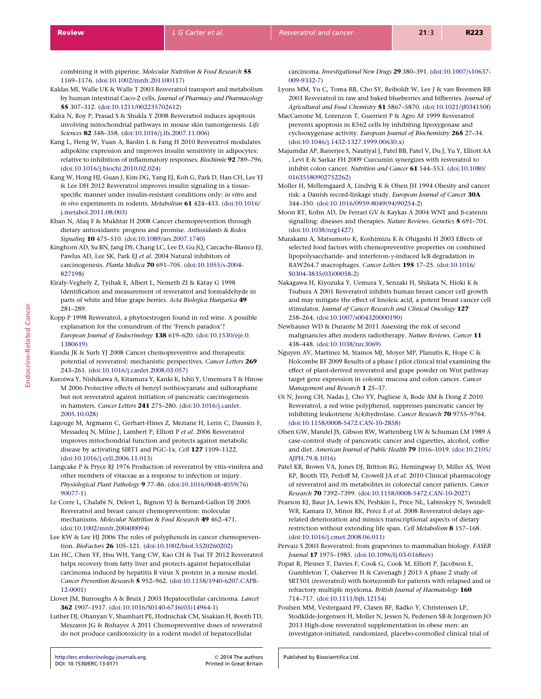<span id="page-16-0"></span>combining it with piperine. Molecular Nutrition & Food Research 55 1169–1176. ([doi:10.1002/mnfr.201100117](http://dx.doi.org/10.1002/mnfr.201100117))

- Kaldas MI, Walle UK & Walle T 2003 Resveratrol transport and metabolism by human intestinal Caco-2 cells. Journal of Pharmacy and Pharmacology 55 307–312. ([doi:10.1211/002235702612\)](http://dx.doi.org/10.1211/002235702612)
- Kalra N, Roy P, Prasad S & Shukla Y 2008 Resveratrol induces apoptosis involving mitochondrial pathways in mouse skin tumorigenesis. Life Sciences 82 348–358. ([doi:10.1016/j.lfs.2007.11.006\)](http://dx.doi.org/10.1016/j.lfs.2007.11.006)
- Kang L, Heng W, Yuan A, Baolin L & Fang H 2010 Resveratrol modulates adipokine expression and improves insulin sensitivity in adipocytes: relative to inhibition of inflammatory responses. Biochimie 92 789–796. [\(doi:10.1016/j.biochi.2010.02.024](http://dx.doi.org/10.1016/j.biochi.2010.02.024))
- Kang W, Hong HJ, Guan J, Kim DG, Yang EJ, Koh G, Park D, Han CH, Lee YJ & Lee DH 2012 Resveratrol improves insulin signaling in a tissuespecific manner under insulin-resistant conditions only: in vitro and in vivo experiments in rodents. Metabolism 61 424–433. [\(doi:10.1016/](http://dx.doi.org/10.1016/j.metabol.2011.08.003) [j.metabol.2011.08.003\)](http://dx.doi.org/10.1016/j.metabol.2011.08.003)
- Khan N, Afaq F & Mukhtar H 2008 Cancer chemoprevention through dietary antioxidants: progress and promise. Antioxidants & Redox Signaling 10 475–510. [\(doi:10.1089/ars.2007.1740\)](http://dx.doi.org/10.1089/ars.2007.1740)
- Kinghorn AD, Su BN, Jang DS, Chang LC, Lee D, Gu JQ, Carcache-Blanco EJ, Pawlus AD, Lee SK, Park EJ et al. 2004 Natural inhibitors of carcinogenesis. Planta Medica 70 691–705. ([doi:10.1055/s-2004-](http://dx.doi.org/10.1055/s-2004-827198) [827198\)](http://dx.doi.org/10.1055/s-2004-827198)
- Kiraly-Veghely Z, Tyihak E, Albert L, Nemeth ZI & Katay G 1998 Identification and measurement of resveratrol and formaldehyde in parts of white and blue grape berries. Acta Biologica Hungarica 49 281–289.
- Kopp P 1998 Resveratrol, a phytoestrogen found in red wine. A possible explanation for the conundrum of the 'French paradox'? European Journal of Endocrinology 138 619–620. ([doi:10.1530/eje.0.](http://dx.doi.org/10.1530/eje.0.1380619) [1380619\)](http://dx.doi.org/10.1530/eje.0.1380619)
- Kundu JK & Surh YJ 2008 Cancer chemopreventive and therapeutic potential of resveratrol: mechanistic perspectives. Cancer Letters 269 243–261. ([doi:10.1016/j.canlet.2008.03.057](http://dx.doi.org/10.1016/j.canlet.2008.03.057))
- Kuroiwa Y, Nishikawa A, Kitamura Y, Kanki K, Ishii Y, Umemura T & Hirose M 2006 Protective effects of benzyl isothiocyanate and sulforaphane but not resveratrol against initiation of pancreatic carcinogenesis in hamsters. Cancer Letters 241 275–280. [\(doi:10.1016/j.canlet.](http://dx.doi.org/10.1016/j.canlet.2005.10.028) [2005.10.028\)](http://dx.doi.org/10.1016/j.canlet.2005.10.028)
- Lagouge M, Argmann C, Gerhart-Hines Z, Meziane H, Lerin C, Daussin F, Messadeq N, Milne J, Lambert P, Elliott P et al. 2006 Resveratrol improves mitochondrial function and protects against metabolic disease by activating SIRT1 and PGC-1a. Cell 127 1109-1122. [\(doi:10.1016/j.cell.2006.11.013](http://dx.doi.org/10.1016/j.cell.2006.11.013))
- Langcake P & Pryce RJ 1976 Production of resveratrol by vitis-vinifera and other members of vitaceae as a response to infection or injury. Physiological Plant Pathology 9 77–86. ([doi:10.1016/0048-4059\(76\)](http://dx.doi.org/10.1016/0048-4059(76)90077-1) [90077-1\)](http://dx.doi.org/10.1016/0048-4059(76)90077-1)
- Le Corre L, Chalabi N, Delort L, Bignon YJ & Bernard-Gallon DJ 2005 Resveratrol and breast cancer chemoprevention: molecular mechanisms. Molecular Nutrition & Food Research 49 462–471. [\(doi:10.1002/mnfr.200400094\)](http://dx.doi.org/10.1002/mnfr.200400094)
- Lee KW & Lee HJ 2006 The roles of polyphenols in cancer chemoprevention. BioFactors 26 105–121. ([doi:10.1002/biof.5520260202\)](http://dx.doi.org/10.1002/biof.5520260202)
- Lin HC, Chen YF, Hsu WH, Yang CW, Kao CH & Tsai TF 2012 Resveratrol helps recovery from fatty liver and protects against hepatocellular carcinoma induced by hepatitis B virus X protein in a mouse model. Cancer Prevention Research 5 952–962. ([doi:10.1158/1940-6207.CAPR-](http://dx.doi.org/10.1158/1940-6207.CAPR-12-0001)[12-0001\)](http://dx.doi.org/10.1158/1940-6207.CAPR-12-0001)
- Llovet JM, Burroughs A & Bruix J 2003 Hepatocellular carcinoma. Lancet 362 1907–1917. ([doi:10.1016/S0140-6736\(03\)14964-1](http://dx.doi.org/10.1016/S0140-6736(03)14964-1))
- Luther DJ, Ohanyan V, Shamhart PE, Hodnichak CM, Sisakian H, Booth TD, Meszaros JG & Bishayee A 2011 Chemopreventive doses of resveratrol do not produce cardiotoxicity in a rodent model of hepatocellular

carcinoma. Investigational New Drugs 29 380–391. [\(doi:10.1007/s10637-](http://dx.doi.org/10.1007/s10637-009-9332-7) [009-9332-7](http://dx.doi.org/10.1007/s10637-009-9332-7))

- Lyons MM, Yu C, Toma RB, Cho SY, Reiboldt W, Lee J & van Breemen RB 2003 Resveratrol in raw and baked blueberries and bilberries. Journal of Agricultural and Food Chemistry 51 5867–5870. ([doi:10.1021/jf034150f](http://dx.doi.org/10.1021/jf034150f))
- MacCarrone M, Lorenzon T, Guerrieri P & Agro AF 1999 Resveratrol prevents apoptosis in K562 cells by inhibiting lipoxygenase and cyclooxygenase activity. European Journal of Biochemistry 265 27-34. [\(doi:10.1046/j.1432-1327.1999.00630.x](http://dx.doi.org/10.1046/j.1432-1327.1999.00630.x))
- Majumdar AP, Banerjee S, Nautiyal J, Patel BB, Patel V, Du J, Yu Y, Elliott AA , Levi E & Sarkar FH 2009 Curcumin synergizes with resveratrol to inhibit colon cancer. Nutrition and Cancer 61 544–553. ([doi:10.1080/](http://dx.doi.org/10.1080/01635580902752262) [01635580902752262\)](http://dx.doi.org/10.1080/01635580902752262)
- Moller H, Mellemgaard A, Lindvig K & Olsen JH 1994 Obesity and cancer risk: a Danish record-linkage study. European Journal of Cancer 30A 344–350. ([doi:10.1016/0959-8049\(94\)90254-2\)](http://dx.doi.org/10.1016/0959-8049(94)90254-2)
- Moon RT, Kohn AD, De Ferrari GV & Kaykas A 2004 WNT and β-catenin signalling: diseases and therapies. Nature Reviews. Genetics 5 691-701. [\(doi:10.1038/nrg1427](http://dx.doi.org/10.1038/nrg1427))
- Murakami A, Matsumoto K, Koshimizu K & Ohigashi H 2003 Effects of selected food factors with chemopreventive properties on combined lipopolysaccharide- and interferon-g-induced IkB degradation in RAW264.7 macrophages. Cancer Letters 195 17–25. ([doi:10.1016/](http://dx.doi.org/10.1016/S0304-3835(03)00058-2) [S0304-3835\(03\)00058-2\)](http://dx.doi.org/10.1016/S0304-3835(03)00058-2)
- Nakagawa H, Kiyozuka Y, Uemura Y, Senzaki H, Shikata N, Hioki K & Tsubura A 2001 Resveratrol inhibits human breast cancer cell growth and may mitigate the effect of linoleic acid, a potent breast cancer cell stimulator. Journal of Cancer Research and Clinical Oncology 127 258–264. ([doi:10.1007/s004320000190\)](http://dx.doi.org/10.1007/s004320000190)
- Newhauser WD & Durante M 2011 Assessing the risk of second malignancies after modern radiotherapy. Nature Reviews. Cancer 11 438–448. ([doi:10.1038/nrc3069\)](http://dx.doi.org/10.1038/nrc3069)
- Nguyen AV, Martinez M, Stamos MJ, Moyer MP, Planutis K, Hope C & Holcombe RF 2009 Results of a phase I pilot clinical trial examining the effect of plant-derived resveratrol and grape powder on Wnt pathway target gene expression in colonic mucosa and colon cancer. Cancer Management and Research 1 25-37.
- Oi N, Jeong CH, Nadas J, Cho YY, Pugliese A, Bode AM & Dong Z 2010 Resveratrol, a red wine polyphenol, suppresses pancreatic cancer by inhibiting leukotriene A(4)hydrolase. Cancer Research 70 9755–9764. [\(doi:10.1158/0008-5472.CAN-10-2858\)](http://dx.doi.org/10.1158/0008-5472.CAN-10-2858)
- Olsen GW, Mandel JS, Gibson RW, Wattenberg LW & Schuman LM 1989 A case–control study of pancreatic cancer and cigarettes, alcohol, coffee and diet. American Journal of Public Health 79 1016–1019. [\(doi:10.2105/](http://dx.doi.org/10.2105/AJPH.79.8.1016) [AJPH.79.8.1016\)](http://dx.doi.org/10.2105/AJPH.79.8.1016)
- Patel KR, Brown VA, Jones DJ, Britton RG, Hemingway D, Miller AS, West KP, Booth TD, Perloff M, Crowell JA et al. 2010 Clinical pharmacology of resveratrol and its metabolites in colorectal cancer patients. Cancer Research 70 7392–7399. ([doi:10.1158/0008-5472.CAN-10-2027\)](http://dx.doi.org/10.1158/0008-5472.CAN-10-2027)
- Pearson KJ, Baur JA, Lewis KN, Peshkin L, Price NL, Labinskyy N, Swindell WR, Kamara D, Minor RK, Perez E et al. 2008 Resveratrol delays agerelated deterioration and mimics transcriptional aspects of dietary restriction without extending life span. Cell Metabolism 8 157–168. [\(doi:10.1016/j.cmet.2008.06.011\)](http://dx.doi.org/10.1016/j.cmet.2008.06.011)
- Pervaiz S 2003 Resveratrol: from grapevines to mammalian biology. FASEB Journal 17 1975–1985. ([doi:10.1096/fj.03-0168rev\)](http://dx.doi.org/10.1096/fj.03-0168rev)
- Popat R, Plesner T, Davies F, Cook G, Cook M, Elliott P, Jacobson E, Gumbleton T, Oakervee H & Cavenagh J 2013 A phase 2 study of SRT501 (resveratrol) with bortezomib for patients with relapsed and or refractory multiple myeloma. British Journal of Haematology 160 714–717. ([doi:10.1111/bjh.12154\)](http://dx.doi.org/10.1111/bjh.12154)
- Poulsen MM, Vestergaard PF, Clasen BF, Radko Y, Christensen LP, Stodkilde-Jorgensen H, Moller N, Jessen N, Pedersen SB & Jorgensen JO 2013 High-dose resveratrol supplementation in obese men: an investigator-initiated, randomized, placebo-controlled clinical trial of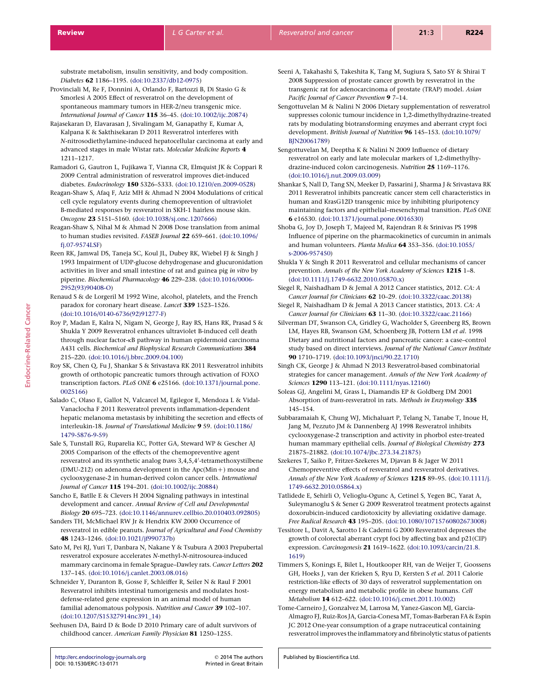<span id="page-17-0"></span>substrate metabolism, insulin sensitivity, and body composition. Diabetes 62 1186–1195. ([doi:10.2337/db12-0975\)](http://dx.doi.org/10.2337/db12-0975)

- Provinciali M, Re F, Donnini A, Orlando F, Bartozzi B, Di Stasio G & Smorlesi A 2005 Effect of resveratrol on the development of spontaneous mammary tumors in HER-2/neu transgenic mice. International Journal of Cancer 115 36–45. ([doi:10.1002/ijc.20874\)](http://dx.doi.org/10.1002/ijc.20874)
- Rajasekaran D, Elavarasan J, Sivalingam M, Ganapathy E, Kumar A, Kalpana K & Sakthisekaran D 2011 Resveratrol interferes with N-nitrosodiethylamine-induced hepatocellular carcinoma at early and advanced stages in male Wistar rats. Molecular Medicine Reports 4 1211–1217.
- Ramadori G, Gautron L, Fujikawa T, Vianna CR, Elmquist JK & Coppari R 2009 Central administration of resveratrol improves diet-induced diabetes. Endocrinology 150 5326–5333. ([doi:10.1210/en.2009-0528\)](http://dx.doi.org/10.1210/en.2009-0528)
- Reagan-Shaw S, Afaq F, Aziz MH & Ahmad N 2004 Modulations of critical cell cycle regulatory events during chemoprevention of ultraviolet B-mediated responses by resveratrol in SKH-1 hairless mouse skin. Oncogene 23 5151–5160. [\(doi:10.1038/sj.onc.1207666\)](http://dx.doi.org/10.1038/sj.onc.1207666)
- Reagan-Shaw S, Nihal M & Ahmad N 2008 Dose translation from animal to human studies revisited. FASEB Journal 22 659–661. ([doi:10.1096/](http://dx.doi.org/10.1096/fj.07-9574LSF) [fj.07-9574LSF\)](http://dx.doi.org/10.1096/fj.07-9574LSF)
- Reen RK, Jamwal DS, Taneja SC, Koul JL, Dubey RK, Wiebel FJ & Singh J 1993 Impairment of UDP-glucose dehydrogenase and glucuronidation activities in liver and small intestine of rat and guinea pig in vitro by piperine. Biochemical Pharmacology 46 229–238. ([doi:10.1016/0006-](http://dx.doi.org/10.1016/0006-2952(93)90408-O) [2952\(93\)90408-O\)](http://dx.doi.org/10.1016/0006-2952(93)90408-O)
- Renaud S & de Lorgeril M 1992 Wine, alcohol, platelets, and the French paradox for coronary heart disease. Lancet 339 1523–1526. [\(doi:10.1016/0140-6736\(92\)91277-F\)](http://dx.doi.org/10.1016/0140-6736(92)91277-F)
- Roy P, Madan E, Kalra N, Nigam N, George J, Ray RS, Hans RK, Prasad S & Shukla Y 2009 Resveratrol enhances ultraviolet B-induced cell death through nuclear factor-kB pathway in human epidermoid carcinoma A431 cells. Biochemical and Biophysical Research Communications 384 215–220. ([doi:10.1016/j.bbrc.2009.04.100\)](http://dx.doi.org/10.1016/j.bbrc.2009.04.100)
- Roy SK, Chen Q, Fu J, Shankar S & Srivastava RK 2011 Resveratrol inhibits growth of orthotopic pancreatic tumors through activation of FOXO transcription factors. PLoS ONE 6 e25166. ([doi:10.1371/journal.pone.](http://dx.doi.org/10.1371/journal.pone.0025166) [0025166\)](http://dx.doi.org/10.1371/journal.pone.0025166)
- Salado C, Olaso E, Gallot N, Valcarcel M, Egilegor E, Mendoza L & Vidal-Vanaclocha F 2011 Resveratrol prevents inflammation-dependent hepatic melanoma metastasis by inhibiting the secretion and effects of interleukin-18. Journal of Translational Medicine 9 59. ([doi:10.1186/](http://dx.doi.org/10.1186/1479-5876-9-59) [1479-5876-9-59\)](http://dx.doi.org/10.1186/1479-5876-9-59)
- Sale S, Tunstall RG, Ruparelia KC, Potter GA, Steward WP & Gescher AJ 2005 Comparison of the effects of the chemopreventive agent resveratrol and its synthetic analog trans 3,4,5,4'-tetramethoxystilbene (DMU-212) on adenoma development in the  $Apc(Min+)$  mouse and cyclooxygenase-2 in human-derived colon cancer cells. International Journal of Cancer 115 194–201. [\(doi:10.1002/ijc.20884](http://dx.doi.org/10.1002/ijc.20884))
- Sancho E, Batlle E & Clevers H 2004 Signaling pathways in intestinal development and cancer. Annual Review of Cell and Developmental Biology 20 695–723. ([doi:10.1146/annurev.cellbio.20.010403.092805\)](http://dx.doi.org/10.1146/annurev.cellbio.20.010403.092805)
- Sanders TH, McMichael RW Jr & Hendrix KW 2000 Occurrence of resveratrol in edible peanuts. Journal of Agricultural and Food Chemistry 48 1243–1246. ([doi:10.1021/jf990737b\)](http://dx.doi.org/10.1021/jf990737b)
- Sato M, Pei RJ, Yuri T, Danbara N, Nakane Y & Tsubura A 2003 Prepubertal resveratrol exposure accelerates N-methyl-N-nitrosourea-induced mammary carcinoma in female Sprague–Dawley rats. Cancer Letters 202 137–145. ([doi:10.1016/j.canlet.2003.08.016](http://dx.doi.org/10.1016/j.canlet.2003.08.016))
- Schneider Y, Duranton B, Gosse F, Schleiffer R, Seiler N & Raul F 2001 Resveratrol inhibits intestinal tumorigenesis and modulates hostdefense-related gene expression in an animal model of human familial adenomatous polyposis. Nutrition and Cancer 39 102–107. [\(doi:10.1207/S15327914nc391\\_14](http://dx.doi.org/10.1207/S15327914nc391_14))
- Seehusen DA, Baird D & Bode D 2010 Primary care of adult survivors of childhood cancer. American Family Physician 81 1250–1255.
- <http://erc.endocrinology-journals.org> [DOI: 10.1530/ERC-13-0171](http://dx.doi.org/10.1530/ERC-13-0171)
- Seeni A, Takahashi S, Takeshita K, Tang M, Sugiura S, Sato SY & Shirai T 2008 Suppression of prostate cancer growth by resveratrol in the transgenic rat for adenocarcinoma of prostate (TRAP) model. Asian Pacific Journal of Cancer Prevention 9 7-14.
- Sengottuvelan M & Nalini N 2006 Dietary supplementation of resveratrol suppresses colonic tumour incidence in 1,2-dimethylhydrazine-treated rats by modulating biotransforming enzymes and aberrant crypt foci development. British Journal of Nutrition 96 145–153. ([doi:10.1079/](http://dx.doi.org/10.1079/BJN20061789) [BJN20061789\)](http://dx.doi.org/10.1079/BJN20061789)
- Sengottuvelan M, Deeptha K & Nalini N 2009 Influence of dietary resveratrol on early and late molecular markers of 1,2-dimethylhydrazine-induced colon carcinogenesis. Nutrition 25 1169–1176. [\(doi:10.1016/j.nut.2009.03.009](http://dx.doi.org/10.1016/j.nut.2009.03.009))
- Shankar S, Nall D, Tang SN, Meeker D, Passarini J, Sharma J & Srivastava RK 2011 Resveratrol inhibits pancreatic cancer stem cell characteristics in human and KrasG12D transgenic mice by inhibiting pluripotency maintaining factors and epithelial–mesenchymal transition. PLoS ONE 6 e16530. [\(doi:10.1371/journal.pone.0016530\)](http://dx.doi.org/10.1371/journal.pone.0016530)
- Shoba G, Joy D, Joseph T, Majeed M, Rajendran R & Srinivas PS 1998 Influence of piperine on the pharmacokinetics of curcumin in animals and human volunteers. Planta Medica 64 353–356. ([doi:10.1055/](http://dx.doi.org/10.1055/s-2006-957450) [s-2006-957450](http://dx.doi.org/10.1055/s-2006-957450))
- Shukla Y & Singh R 2011 Resveratrol and cellular mechanisms of cancer prevention. Annals of the New York Academy of Sciences 1215 1-8. [\(doi:10.1111/j.1749-6632.2010.05870.x](http://dx.doi.org/10.1111/j.1749-6632.2010.05870.x))
- Siegel R, Naishadham D & Jemal A 2012 Cancer statistics, 2012. CA: A Cancer Journal for Clinicians 62 10–29. ([doi:10.3322/caac.20138](http://dx.doi.org/10.3322/caac.20138))
- Siegel R, Naishadham D & Jemal A 2013 Cancer statistics, 2013. CA: A Cancer Journal for Clinicians 63 11–30. ([doi:10.3322/caac.21166](http://dx.doi.org/10.3322/caac.21166))
- Silverman DT, Swanson CA, Gridley G, Wacholder S, Greenberg RS, Brown LM, Hayes RB, Swanson GM, Schoenberg JB, Pottern LM et al. 1998 Dietary and nutritional factors and pancreatic cancer: a case–control study based on direct interviews. Journal of the National Cancer Institute 90 1710–1719. ([doi:10.1093/jnci/90.22.1710](http://dx.doi.org/10.1093/jnci/90.22.1710))
- Singh CK, George J & Ahmad N 2013 Resveratrol-based combinatorial strategies for cancer management. Annals of the New York Academy of Sciences 1290 113–121. [\(doi:10.1111/nyas.12160\)](http://dx.doi.org/10.1111/nyas.12160)
- Soleas GJ, Angelini M, Grass L, Diamandis EP & Goldberg DM 2001 Absorption of trans-resveratrol in rats. Methods in Enzymology 335 145–154.
- Subbaramaiah K, Chung WJ, Michaluart P, Telang N, Tanabe T, Inoue H, Jang M, Pezzuto JM & Dannenberg AJ 1998 Resveratrol inhibits cyclooxygenase-2 transcription and activity in phorbol ester-treated human mammary epithelial cells. Journal of Biological Chemistry 273 21875–21882. ([doi:10.1074/jbc.273.34.21875\)](http://dx.doi.org/10.1074/jbc.273.34.21875)
- Szekeres T, Saiko P, Fritzer-Szekeres M, Djavan B & Jager W 2011 Chemopreventive effects of resveratrol and resveratrol derivatives. Annals of the New York Academy of Sciences 1215 89-95. [\(doi:10.1111/j.](http://dx.doi.org/10.1111/j.1749-6632.2010.05864.x) [1749-6632.2010.05864.x](http://dx.doi.org/10.1111/j.1749-6632.2010.05864.x))
- Tatlidede E, Sehirli O, Velioglu-Ogunc A, Cetinel S, Yegen BC, Yarat A, Suleymanoglu S & Sener G 2009 Resveratrol treatment protects against doxorubicin-induced cardiotoxicity by alleviating oxidative damage. Free Radical Research 43 195–205. ([doi:10.1080/10715760802673008](http://dx.doi.org/10.1080/10715760802673008))
- Tessitore L, Davit A, Sarotto I & Caderni G 2000 Resveratrol depresses the growth of colorectal aberrant crypt foci by affecting bax and p21(CIP) expression. Carcinogenesis 21 1619–1622. [\(doi:10.1093/carcin/21.8.](http://dx.doi.org/10.1093/carcin/21.8.1619) [1619\)](http://dx.doi.org/10.1093/carcin/21.8.1619)
- Timmers S, Konings E, Bilet L, Houtkooper RH, van de Weijer T, Goossens GH, Hoeks J, van der Krieken S, Ryu D, Kersten S et al. 2011 Calorie restriction-like effects of 30 days of resveratrol supplementation on energy metabolism and metabolic profile in obese humans. Cell Metabolism 14 612–622. [\(doi:10.1016/j.cmet.2011.10.002\)](http://dx.doi.org/10.1016/j.cmet.2011.10.002)
- Tome-Carneiro J, Gonzalvez M, Larrosa M, Yanez-Gascon MJ, Garcia-Almagro FJ, Ruiz-Ros JA, Garcia-Conesa MT, Tomas-Barberan FA & Espin JC 2012 One-year consumption of a grape nutraceutical containing resveratrol improves the inflammatory and fibrinolytic status of patients